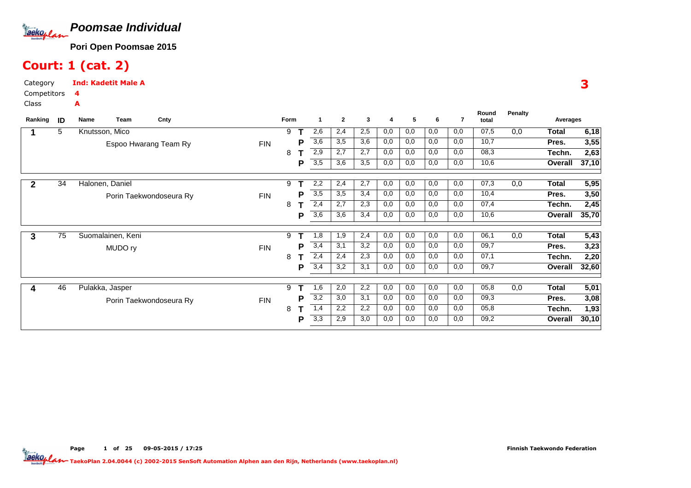

### Court: 1 (cat. 2)

A

Page

e 1

of <sup>25</sup> 09-05-2015 / 17:25

CategoryInd: Kadetit Male A

 Competitors4

Class

| Ranking | ID | Name | Team              | Cnty                    |            | Form |   | -1               | $\mathbf{2}$ | 3   | 4   | 5   | 6   |     | Round<br>total | <b>Penalty</b> | Averages |       |
|---------|----|------|-------------------|-------------------------|------------|------|---|------------------|--------------|-----|-----|-----|-----|-----|----------------|----------------|----------|-------|
|         | 5  |      | Knutsson, Mico    |                         |            | 9    |   | 2,6              | 2,4          | 2,5 | 0,0 | 0,0 | 0,0 | 0,0 | 07,5           | 0,0            | Total    | 6,18  |
|         |    |      |                   | Espoo Hwarang Team Ry   | <b>FIN</b> |      | Р | 3,6              | 3,5          | 3,6 | 0,0 | 0,0 | 0,0 | 0,0 | 10,7           |                | Pres.    | 3,55  |
|         |    |      |                   |                         |            | 8    |   | 2,9              | 2,7          | 2,7 | 0,0 | 0,0 | 0,0 | 0,0 | 08,3           |                | Techn.   | 2,63  |
|         |    |      |                   |                         |            |      | P | 3,5              | 3,6          | 3,5 | 0,0 | 0,0 | 0,0 | 0,0 | 10,6           |                | Overall  | 37,10 |
|         | 34 |      | Halonen, Daniel   |                         |            | 9    |   | 2,2              | 2,4          | 2,7 | 0,0 | 0,0 | 0,0 | 0,0 | 07,3           | 0,0            | Total    | 5,95  |
|         |    |      |                   | Porin Taekwondoseura Ry | <b>FIN</b> |      | Р | 3,5              | 3,5          | 3,4 | 0,0 | 0,0 | 0,0 | 0,0 | 10,4           |                | Pres.    | 3,50  |
|         |    |      |                   |                         |            | 8    |   | 2,4              | 2,7          | 2,3 | 0,0 | 0,0 | 0,0 | 0,0 | 07,4           |                | Techn.   | 2,45  |
|         |    |      |                   |                         |            |      | P | 3,6              | 3,6          | 3,4 | 0,0 | 0,0 | 0,0 | 0,0 | 10,6           |                | Overall  | 35,70 |
| 3       | 75 |      | Suomalainen, Keni |                         |            | 9    |   | 1,8              | 1,9          | 2,4 | 0,0 | 0,0 | 0,0 | 0,0 | 06,1           | 0,0            | Total    | 5,43  |
|         |    |      | MUDO ry           |                         | <b>FIN</b> |      | Р | 3,4              | 3,1          | 3,2 | 0,0 | 0,0 | 0,0 | 0,0 | 09,7           |                | Pres.    | 3,23  |
|         |    |      |                   |                         |            | 8    |   | 2,4              | 2,4          | 2,3 | 0,0 | 0,0 | 0,0 | 0,0 | 07,1           |                | Techn.   | 2,20  |
|         |    |      |                   |                         |            |      | P | 3,4              | 3,2          | 3,1 | 0,0 | 0,0 | 0,0 | 0,0 | 09,7           |                | Overall  | 32,60 |
|         | 46 |      | Pulakka, Jasper   |                         |            | 9    |   | 1,6              | 2,0          | 2,2 | 0,0 | 0,0 | 0,0 | 0,0 | 05,8           | 0,0            | Total    | 5,01  |
|         |    |      |                   | Porin Taekwondoseura Ry | <b>FIN</b> |      | Р | 3,2              | 3,0          | 3,1 | 0,0 | 0,0 | 0,0 | 0,0 | 09,3           |                | Pres.    | 3,08  |
|         |    |      |                   |                         |            | 8    |   | 1,4              | 2,2          | 2,2 | 0,0 | 0,0 | 0,0 | 0,0 | 05,8           |                | Techn.   | 1,93  |
|         |    |      |                   |                         |            |      | Р | $\overline{3,3}$ | 2,9          | 3,0 | 0,0 | 0,0 | 0,0 | 0,0 | 09,2           |                | Overall  | 30,10 |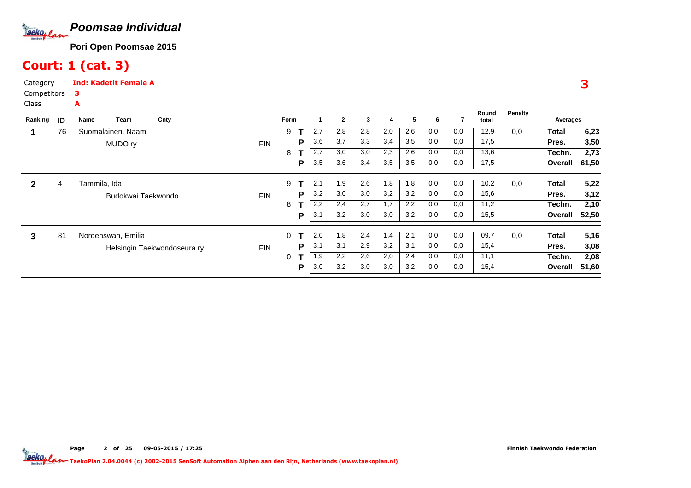

### Court: 1 (cat. 3)

A

Page

CategoryInd: Kadetit Female A

 Competitors3

Class

| Ranking | ID | Name               | Team               | Cnty                        |            | Form |   | $\mathbf{1}$ | $\overline{2}$ | 3   | 4   | 5   | 6   |     | Round<br>total | Penalty | Averages |       |
|---------|----|--------------------|--------------------|-----------------------------|------------|------|---|--------------|----------------|-----|-----|-----|-----|-----|----------------|---------|----------|-------|
|         | 76 | Suomalainen, Naam  |                    |                             |            | 9    |   | 2,7          | 2,8            | 2,8 | 2,0 | 2,6 | 0,0 | 0,0 | 12,9           | 0,0     | Total    | 6,23  |
|         |    |                    | MUDO ry            |                             | <b>FIN</b> |      | Р | 3,6          | 3,7            | 3,3 | 3,4 | 3,5 | 0,0 | 0,0 | 17,5           |         | Pres.    | 3,50  |
|         |    |                    |                    |                             |            | 8    |   | 2,7          | 3,0            | 3,0 | 2,3 | 2,6 | 0,0 | 0,0 | 13,6           |         | Techn.   | 2,73  |
|         |    |                    |                    |                             |            |      | Р | 3,5          | 3,6            | 3,4 | 3,5 | 3,5 | 0,0 | 0,0 | 17,5           |         | Overall  | 61,50 |
|         |    |                    |                    |                             |            |      |   |              |                |     |     |     |     |     |                |         |          |       |
|         | 4  | Tammila, Ida       |                    |                             |            | 9    |   | 2,1          | 1,9            | 2,6 | 1,8 | 1,8 | 0,0 | 0,0 | 10,2           | 0,0     | Total    | 5,22  |
|         |    |                    | Budokwai Taekwondo |                             | <b>FIN</b> |      | P | 3,2          | 3,0            | 3,0 | 3,2 | 3,2 | 0,0 | 0,0 | 15,6           |         | Pres.    | 3,12  |
|         |    |                    |                    |                             |            | 8    |   | 2,2          | 2,4            | 2,7 | 1,7 | 2,2 | 0,0 | 0,0 | 11,2           |         | Techn.   | 2,10  |
|         |    |                    |                    |                             |            |      | P | 3,1          | 3,2            | 3,0 | 3,0 | 3,2 | 0,0 | 0,0 | 15,5           |         | Overall  | 52,50 |
|         |    |                    |                    |                             |            |      |   |              |                |     |     |     |     |     |                |         |          |       |
| 3       | 81 | Nordenswan, Emilia |                    |                             |            | 0    |   | 2,0          | 1,8            | 2,4 | 1,4 | 2,1 | 0,0 | 0,0 | 09,7           | 0,0     | Total    | 5,16  |
|         |    |                    |                    | Helsingin Taekwondoseura ry | <b>FIN</b> |      | Р | 3,1          | 3,1            | 2,9 | 3,2 | 3,1 | 0,0 | 0,0 | 15,4           |         | Pres.    | 3,08  |
|         |    |                    |                    |                             |            | 0    |   | 1,9          | 2,2            | 2,6 | 2,0 | 2,4 | 0,0 | 0,0 | 11,1           |         | Techn.   | 2,08  |
|         |    |                    |                    |                             |            |      | Р | 3,0          | 3,2            | 3,0 | 3,0 | 3,2 | 0,0 | 0,0 | 15,4           |         | Overall  | 51,60 |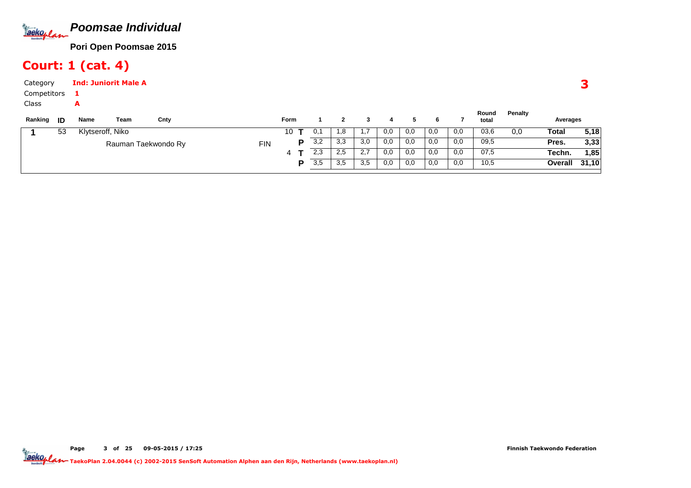

### Court: 1 (cat. 4)

| Category<br>Competitors |    | а                | <b>Ind: Juniorit Male A</b> |                     |            |             |   |     |              |     |     |     |     |     |                |         |          |       |
|-------------------------|----|------------------|-----------------------------|---------------------|------------|-------------|---|-----|--------------|-----|-----|-----|-----|-----|----------------|---------|----------|-------|
| Class<br>Ranking        | ID | A<br>Name        | Team                        | Cnty                |            | <b>Form</b> |   |     | $\mathbf{2}$ | 3   | 4   | 5.  | 6   |     | Round<br>total | Penalty | Averages |       |
|                         | 53 | Klytseroff, Niko |                             |                     |            | 10          |   | 0,1 | 1,8          | 1,7 | 0,0 | 0,0 | 0,0 | 0,0 | 03,6           | 0,0     | Total    | 5,18  |
|                         |    |                  |                             | Rauman Taekwondo Ry | <b>FIN</b> |             | P | 3,2 | 3,3          | 3,0 | 0,0 | 0,0 | 0,0 | 0,0 | 09,5           |         | Pres.    | 3,33  |
|                         |    |                  |                             |                     |            | 4           |   | 2,3 | 2,5          | 2,7 | 0,0 | 0,0 | 0,0 | 0,0 | 07,5           |         | Techn.   | 85. ا |
|                         |    |                  |                             |                     |            |             | Þ | 3,5 | 3,5          | 3,5 | 0,0 | 0,0 | 0,0 | 0,0 | 10,5           |         | Overall  | 31,10 |
|                         |    |                  |                             |                     |            |             |   |     |              |     |     |     |     |     |                |         |          |       |

Pagee 3 of <sup>25</sup> 09-05-2015 / 17:25 TaekoPlan 2.04.0044 (c) 2002-2015 SenSoft Automation Alphen aan den Rijn, Netherlands (www.taekoplan.nl)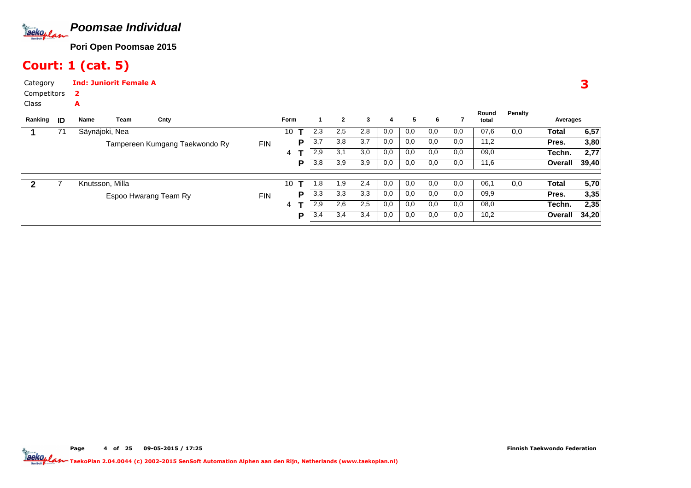

### Court: 1 (cat. 5)

A

Page

CategoryInd: Juniorit Female A

 Competitors2

Class

| Ranking | ID | Name            | Team | Cnty                           |            | <b>Form</b> |   |      | $\mathbf{2}$ | 3   | 4   | 5   | 6   |     | Round<br>total | Penalty | Averages |       |
|---------|----|-----------------|------|--------------------------------|------------|-------------|---|------|--------------|-----|-----|-----|-----|-----|----------------|---------|----------|-------|
|         | 71 | Säynäjoki, Nea  |      |                                |            | 10          |   | 2,3  | 2,5          | 2,8 | 0,0 | 0,0 | 0,0 | 0,0 | 07,6           | 0,0     | Total    | 6,57  |
|         |    |                 |      | Tampereen Kumgang Taekwondo Ry | <b>FIN</b> |             | Р | 3,7  | 3,8          | 3,7 | 0,0 | 0,0 | 0,0 | 0,0 | 11,2           |         | Pres.    | 3,80  |
|         |    |                 |      |                                |            | 4           |   | 2,9  | 3,1          | 3,0 | 0,0 | 0,0 | 0,0 | 0,0 | 09,0           |         | Techn.   | 2,77  |
|         |    |                 |      |                                |            |             | D | 3,8  | 3,9          | 3,9 | 0,0 | 0,0 | 0,0 | 0,0 | 11,6           |         | Overall  | 39,40 |
|         |    | Knutsson, Milla |      |                                |            | 10          | т | 8, ا | 1,9          | 2,4 | 0,0 | 0,0 | 0.0 | 0,0 | 06,1           | 0,0     | Total    | 5,70  |
|         |    |                 |      | Espoo Hwarang Team Ry          | <b>FIN</b> |             | p | 3,3  | 3,3          | 3,3 | 0,0 | 0,0 | 0,0 | 0,0 | 09,9           |         | Pres.    | 3,35  |
|         |    |                 |      |                                |            | 4           |   | 2,9  | 2,6          | 2,5 | 0,0 | 0,0 | 0,0 | 0,0 | 08,0           |         | Techn.   | 2,35  |
|         |    |                 |      |                                |            |             | P | 3,4  | 3,4          | 3,4 | 0,0 | 0,0 | 0,0 | 0,0 | 10,2           |         | Overall  | 34,20 |
|         |    |                 |      |                                |            |             |   |      |              |     |     |     |     |     |                |         |          |       |

of <sup>25</sup> 09-05-2015 / 17:25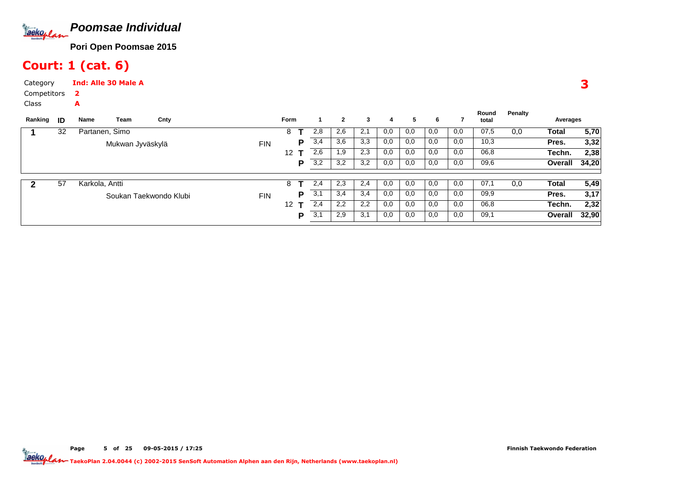

### Court: 1 (cat. 6)

A

Page

CategoryInd: Alle 30 Male A

 Competitors2

Class

| Ranking | ID | Name           | Team             | Cnty                   |            | Form |   |     | $\mathbf{2}$ | 3   | 4   | 5   | 6   |     | Round<br>total | Penalty | Averages     |       |
|---------|----|----------------|------------------|------------------------|------------|------|---|-----|--------------|-----|-----|-----|-----|-----|----------------|---------|--------------|-------|
|         | 32 | Partanen, Simo |                  |                        |            | 8    |   | 2,8 | 2,6          | 2,1 | 0,0 | 0,0 | 0,0 | 0,0 | 07,5           | 0,0     | Total        | 5,70  |
|         |    |                | Mukwan Jyväskylä |                        | <b>FIN</b> |      | P | 3,4 | 3,6          | 3,3 | 0,0 | 0,0 | 0,0 | 0,0 | 10,3           |         | Pres.        | 3,32  |
|         |    |                |                  |                        |            | 12   |   | 2,6 | 1,9          | 2,3 | 0,0 | 0,0 | 0,0 | 0,0 | 06,8           |         | Techn.       | 2,38  |
|         |    |                |                  |                        |            |      | P | 3,2 | 3,2          | 3,2 | 0,0 | 0,0 | 0,0 | 0,0 | 09,6           |         | Overall      | 34,20 |
|         | 57 | Karkola, Antti |                  |                        |            | 8    |   | 2,4 | 2,3          | 2,4 | 0,0 | 0,0 | 0,0 | 0,0 | 07,1           | 0,0     | <b>Total</b> | 5,49  |
|         |    |                |                  | Soukan Taekwondo Klubi | <b>FIN</b> |      | Р | 3,1 | 3,4          | 3,4 | 0,0 | 0,0 | 0,0 | 0,0 | 09,9           |         | Pres.        | 3,17  |
|         |    |                |                  |                        |            | 12   |   | 2,4 | 2,2          | 2,2 | 0,0 | 0,0 | 0,0 | 0,0 | 06,8           |         | Techn.       | 2,32  |
|         |    |                |                  |                        |            |      | P | 3,1 | 2,9          | 3,1 | 0,0 | 0,0 | 0,0 | 0,0 | 09,1           |         | Overall      | 32,90 |
|         |    |                |                  |                        |            |      |   |     |              |     |     |     |     |     |                |         |              |       |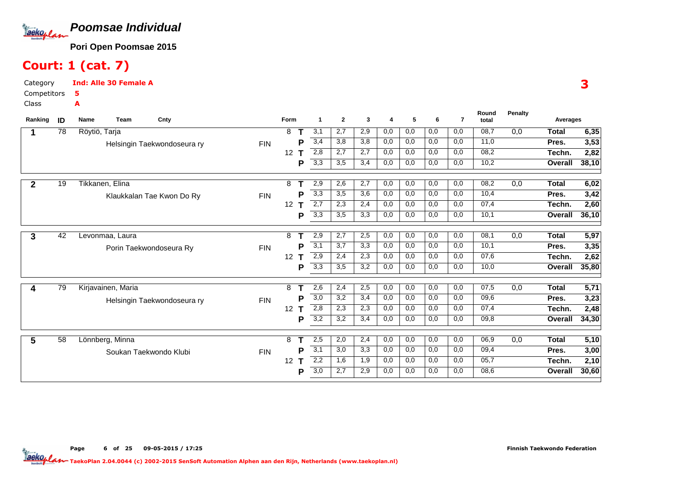

### Court: 1 (cat. 7)

A

Page

e 6

CategoryInd: Alle 30 Female A

 Competitors5

Class

| Ranking      | ID | Team<br>Cnty<br>Name        |            | Form                 | 1                | $\mathbf{2}$ | 3   | 4   | 5   | 6   | $\overline{7}$ | Round<br>total | <b>Penalty</b> | Averages       |       |
|--------------|----|-----------------------------|------------|----------------------|------------------|--------------|-----|-----|-----|-----|----------------|----------------|----------------|----------------|-------|
|              | 78 | Röytiö, Tarja               |            | 8                    | 3,1              | 2,7          | 2,9 | 0,0 | 0,0 | 0,0 | 0,0            | 08,7           | 0,0            | Total          | 6,35  |
|              |    | Helsingin Taekwondoseura ry | <b>FIN</b> | P                    | 3,4              | 3,8          | 3,8 | 0,0 | 0,0 | 0,0 | 0,0            | 11,0           |                | Pres.          | 3,53  |
|              |    |                             |            | 12                   | 2,8              | 2,7          | 2,7 | 0,0 | 0,0 | 0,0 | 0,0            | 08,2           |                | Techn.         | 2,82  |
|              |    |                             |            | Р                    | 3,3              | 3,5          | 3,4 | 0,0 | 0,0 | 0,0 | 0,0            | 10,2           |                | <b>Overall</b> | 38,10 |
| $\mathbf{2}$ | 19 | Tikkanen, Elina             |            | 8                    | 2,9              | 2,6          | 2,7 | 0,0 | 0,0 | 0,0 | 0,0            | 08,2           | 0,0            | <b>Total</b>   | 6,02  |
|              |    | Klaukkalan Tae Kwon Do Ry   | <b>FIN</b> | P                    | 3,3              | 3,5          | 3,6 | 0,0 | 0,0 | 0,0 | 0,0            | 10,4           |                | Pres.          | 3,42  |
|              |    |                             |            | 12<br>т              | 2,7              | 2,3          | 2,4 | 0,0 | 0,0 | 0,0 | 0,0            | 07,4           |                | Techn.         | 2,60  |
|              |    |                             |            | Р                    | $\overline{3,3}$ | 3,5          | 3,3 | 0,0 | 0,0 | 0,0 | 0,0            | 10,1           |                | <b>Overall</b> | 36,10 |
| 3            | 42 | Levonmaa, Laura             |            | 8                    | 2,9              | 2,7          | 2,5 | 0,0 | 0,0 | 0,0 | 0,0            | 08,1           | 0,0            | <b>Total</b>   | 5,97  |
|              |    | Porin Taekwondoseura Ry     | <b>FIN</b> | Ρ                    | 3,1              | 3,7          | 3,3 | 0,0 | 0,0 | 0,0 | 0,0            | 10,1           |                | Pres.          | 3,35  |
|              |    |                             |            | 12 <sup>2</sup><br>T | 2,9              | 2,4          | 2,3 | 0,0 | 0,0 | 0,0 | 0,0            | 07,6           |                | Techn.         | 2,62  |
|              |    |                             |            | Р                    | 3,3              | 3,5          | 3,2 | 0,0 | 0,0 | 0,0 | 0,0            | 10,0           |                | Overall        | 35,80 |
|              | 79 | Kirjavainen, Maria          |            | 8                    | 2,6              | 2,4          | 2,5 | 0,0 | 0,0 | 0,0 | 0,0            | 07,5           | 0,0            | <b>Total</b>   | 5,71  |
|              |    | Helsingin Taekwondoseura ry | <b>FIN</b> | Р                    | 3,0              | 3,2          | 3,4 | 0,0 | 0,0 | 0,0 | 0,0            | 09,6           |                | Pres.          | 3,23  |
|              |    |                             |            | 12<br>т              | 2,8              | 2,3          | 2,3 | 0,0 | 0,0 | 0,0 | 0,0            | 07,4           |                | Techn.         | 2,48  |
|              |    |                             |            | Р                    | $\overline{3,2}$ | 3,2          | 3,4 | 0,0 | 0,0 | 0,0 | 0,0            | 09,8           |                | <b>Overall</b> | 34,30 |
| 5            | 58 | Lönnberg, Minna             |            | 8<br>т               | 2,5              | 2,0          | 2,4 | 0,0 | 0,0 | 0,0 | 0,0            | 06,9           | 0,0            | <b>Total</b>   | 5,10  |
|              |    | Soukan Taekwondo Klubi      | <b>FIN</b> | Р                    | 3,1              | 3,0          | 3,3 | 0,0 | 0,0 | 0,0 | 0,0            | 09,4           |                | Pres.          | 3,00  |
|              |    |                             |            | 12 <sup>°</sup><br>т | 2,2              | 1,6          | 1,9 | 0,0 | 0,0 | 0,0 | 0,0            | 05,7           |                | Techn.         | 2,10  |
|              |    |                             |            | Р                    | 3,0              | 2,7          | 2,9 | 0,0 | 0,0 | 0,0 | 0,0            | 08,6           |                | <b>Overall</b> | 30,60 |

TaekoPlan 2.04.0044 (c) 2002-2015 SenSoft Automation Alphen aan den Rijn, Netherlands (www.taekoplan.nl)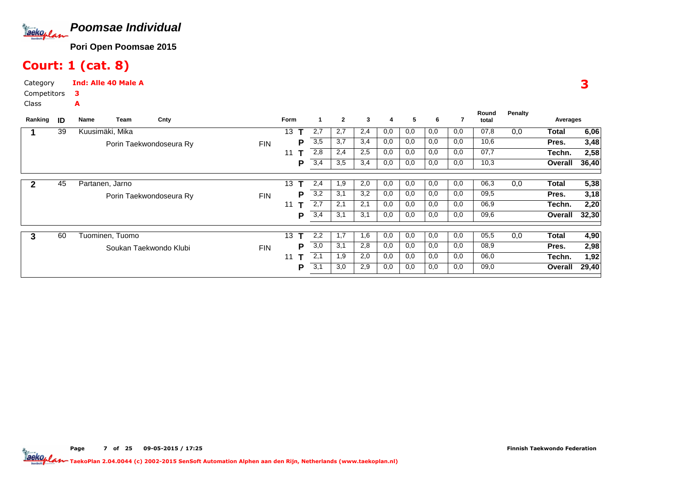

### Court: 1 (cat. 8)

CategoryInd: Alle 40 Male A

A

Page

 Competitors3

Class

| Ranking     | ID | Team<br>Name    | Cnty                    |            | <b>Form</b> |   | -1  | $\mathbf{2}$ | 3   | 4   | 5   | 6   |     | Round<br>total | Penalty | Averages |       |
|-------------|----|-----------------|-------------------------|------------|-------------|---|-----|--------------|-----|-----|-----|-----|-----|----------------|---------|----------|-------|
|             | 39 | Kuusimäki, Mika |                         |            | 13          |   | 2,7 | 2,7          | 2,4 | 0,0 | 0,0 | 0,0 | 0,0 | 07,8           | 0,0     | Total    | 6,06  |
|             |    |                 | Porin Taekwondoseura Ry | <b>FIN</b> |             | P | 3,5 | 3,7          | 3,4 | 0,0 | 0,0 | 0,0 | 0,0 | 10,6           |         | Pres.    | 3,48  |
|             |    |                 |                         |            | 11          |   | 2,8 | 2,4          | 2,5 | 0,0 | 0,0 | 0,0 | 0,0 | 07,7           |         | Techn.   | 2,58  |
|             |    |                 |                         |            |             | P | 3,4 | 3,5          | 3,4 | 0,0 | 0,0 | 0,0 | 0,0 | 10,3           |         | Overall  | 36,40 |
|             |    |                 |                         |            | 13          | т | 2,4 | 1,9          | 2,0 | 0,0 | 0,0 | 0,0 | 0,0 | 06,3           |         |          |       |
| $\mathbf 2$ | 45 | Partanen, Jarno |                         |            |             |   |     |              |     |     |     |     |     |                | 0,0     | Total    | 5,38  |
|             |    |                 | Porin Taekwondoseura Ry | <b>FIN</b> |             | P | 3,2 | 3,1          | 3,2 | 0,0 | 0,0 | 0,0 | 0,0 | 09,5           |         | Pres.    | 3,18  |
|             |    |                 |                         |            | 11          |   | 2,7 | 2,1          | 2,1 | 0,0 | 0,0 | 0,0 | 0,0 | 06,9           |         | Techn.   | 2,20  |
|             |    |                 |                         |            |             | P | 3,4 | 3,1          | 3,1 | 0,0 | 0,0 | 0,0 | 0,0 | 09,6           |         | Overall  | 32,30 |
|             |    |                 |                         |            |             |   |     |              |     |     |     |     |     |                |         |          |       |
| 3           | 60 | Tuominen, Tuomo |                         |            | 13          | т | 2,2 | 1,7          | 1,6 | 0,0 | 0,0 | 0,0 | 0,0 | 05,5           | 0,0     | Total    | 4,90  |
|             |    |                 | Soukan Taekwondo Klubi  | <b>FIN</b> |             | Р | 3,0 | 3,1          | 2,8 | 0,0 | 0,0 | 0,0 | 0,0 | 08,9           |         | Pres.    | 2,98  |
|             |    |                 |                         |            | 11          | т | 2,1 | 1,9          | 2,0 | 0,0 | 0,0 | 0,0 | 0,0 | 06,0           |         | Techn.   | 1,92  |
|             |    |                 |                         |            |             | P | 3,1 | 3,0          | 2,9 | 0,0 | 0,0 | 0,0 | 0,0 | 09,0           |         | Overall  | 29,40 |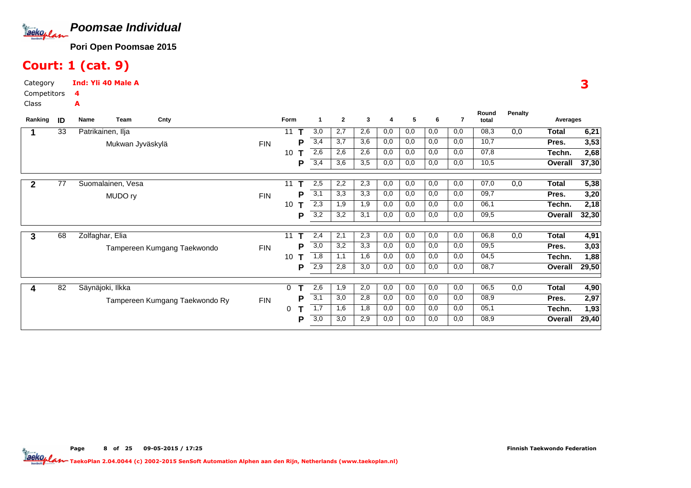

### Court: 1 (cat. 9)

CategoryInd: Yli 40 Male A

A

Page

<sup>8</sup>

 Competitors4

Class

| Ranking | ID | Name | Team              | Cnty                           |            | Form |   | -1               | $\overline{2}$ | 3   | 4   | 5   | 6   | 7   | Round<br>total | Penalty | Averages |       |
|---------|----|------|-------------------|--------------------------------|------------|------|---|------------------|----------------|-----|-----|-----|-----|-----|----------------|---------|----------|-------|
|         | 33 |      | Patrikainen, Ilja |                                |            | 11   |   | 3,0              | 2,7            | 2,6 | 0,0 | 0,0 | 0,0 | 0,0 | 08,3           | 0,0     | Total    | 6,21  |
|         |    |      | Mukwan Jyväskylä  |                                | <b>FIN</b> |      | Р | 3,4              | 3,7            | 3,6 | 0,0 | 0,0 | 0,0 | 0,0 | 10,7           |         | Pres.    | 3,53  |
|         |    |      |                   |                                |            | 10   |   | 2,6              | 2,6            | 2,6 | 0,0 | 0,0 | 0,0 | 0,0 | 07,8           |         | Techn.   | 2,68  |
|         |    |      |                   |                                |            |      | P | 3,4              | 3,6            | 3,5 | 0,0 | 0,0 | 0,0 | 0,0 | 10,5           |         | Overall  | 37,30 |
| 2       | 77 |      | Suomalainen, Vesa |                                |            | 11   |   | 2,5              | 2,2            | 2,3 | 0,0 | 0,0 | 0,0 | 0,0 | 07,0           | 0,0     | Total    | 5,38  |
|         |    |      | MUDO ry           |                                | <b>FIN</b> |      | P | $\overline{3,1}$ | 3,3            | 3,3 | 0,0 | 0,0 | 0,0 | 0,0 | 09,7           |         | Pres.    | 3,20  |
|         |    |      |                   |                                |            | 10   |   | 2,3              | 1,9            | 1,9 | 0,0 | 0,0 | 0,0 | 0,0 | 06,1           |         | Techn.   | 2,18  |
|         |    |      |                   |                                |            |      | Р | $\overline{3,2}$ | 3,2            | 3,1 | 0,0 | 0,0 | 0,0 | 0,0 | 09,5           |         | Overall  | 32,30 |
| 3       | 68 |      | Zolfaghar, Elia   |                                |            | 11   |   | 2,4              | 2,1            | 2,3 | 0,0 | 0,0 | 0,0 | 0,0 | 06,8           | 0,0     | Total    | 4,91  |
|         |    |      |                   | Tampereen Kumgang Taekwondo    | <b>FIN</b> |      | Р | 3,0              | 3,2            | 3,3 | 0,0 | 0,0 | 0,0 | 0,0 | 09,5           |         | Pres.    | 3,03  |
|         |    |      |                   |                                |            | 10   |   | 1,8              | 1,1            | 1,6 | 0,0 | 0,0 | 0,0 | 0,0 | 04,5           |         | Techn.   | 1,88  |
|         |    |      |                   |                                |            |      | P | 2,9              | 2,8            | 3,0 | 0,0 | 0,0 | 0,0 | 0,0 | 08,7           |         | Overall  | 29,50 |
| 4       | 82 |      | Säynäjoki, Ilkka  |                                |            | 0    |   | 2,6              | 1,9            | 2,0 | 0,0 | 0,0 | 0,0 | 0,0 | 06,5           | 0,0     | Total    | 4,90  |
|         |    |      |                   | Tampereen Kumgang Taekwondo Ry | <b>FIN</b> |      | Р | 3,1              | 3,0            | 2,8 | 0,0 | 0,0 | 0,0 | 0,0 | 08,9           |         | Pres.    | 2,97  |
|         |    |      |                   |                                |            | 0    |   | 1,7              | 1,6            | 1,8 | 0,0 | 0,0 | 0,0 | 0,0 | 05,1           |         | Techn.   | 1,93  |
|         |    |      |                   |                                |            |      | Р | $\overline{3,0}$ | 3,0            | 2,9 | 0,0 | 0,0 | 0,0 | 0,0 | 08,9           |         | Overall  | 29,40 |

3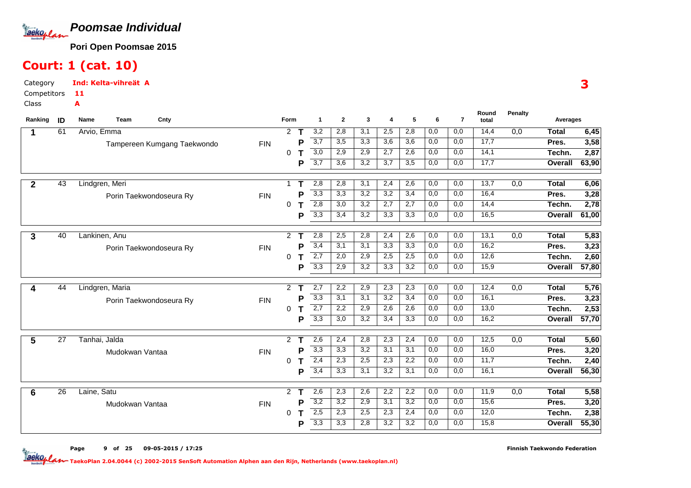

### Court: 1 (cat. 10)

A

CategoryInd: Kelta-vihreät A

 Competitors11

Class

| Ranking      | ID | Team<br>Cnty<br>Name        |            | Form                 |             | $\mathbf{1}$     | $\overline{2}$   | 3                | 4                | 5   | 6   | $\overline{7}$ | Round<br>total | <b>Penalty</b>   | Averages     |       |
|--------------|----|-----------------------------|------------|----------------------|-------------|------------------|------------------|------------------|------------------|-----|-----|----------------|----------------|------------------|--------------|-------|
|              | 61 | Arvio, Emma                 |            | $\overline{2}$       | $\mathbf T$ | 3,2              | 2,8              | 3,1              | 2,5              | 2,8 | 0,0 | 0,0            | 14,4           | $\overline{0,0}$ | <b>Total</b> | 6,45  |
|              |    | Tampereen Kumgang Taekwondo | <b>FIN</b> |                      | P           | 3,7              | 3,5              | 3,3              | 3,6              | 3,6 | 0,0 | 0,0            | 17,7           |                  | Pres.        | 3,58  |
|              |    |                             |            | 0                    |             | $\overline{3,0}$ | $\overline{2,9}$ | 2,9              | 2,7              | 2,6 | 0,0 | 0,0            | 14,1           |                  | Techn.       | 2,87  |
|              |    |                             |            |                      | P           | $\overline{3,7}$ | 3,6              | 3,2              | 3,7              | 3,5 | 0,0 | 0,0            | 17,7           |                  | Overall      | 63,90 |
| $\mathbf{2}$ | 43 | Lindgren, Meri              |            | -1                   |             | 2,8              | 2,8              | 3,1              | 2,4              | 2,6 | 0,0 | 0,0            | 13,7           | 0,0              | <b>Total</b> | 6,06  |
|              |    | Porin Taekwondoseura Ry     | <b>FIN</b> |                      | P           | 3,3              | 3,3              | 3,2              | 3,2              | 3,4 | 0,0 | 0,0            | 16,4           |                  | Pres.        | 3,28  |
|              |    |                             |            | 0                    | т           | $\overline{2,8}$ | 3,0              | 3,2              | 2,7              | 2,7 | 0,0 | 0,0            | 14,4           |                  | Techn.       | 2,78  |
|              |    |                             |            |                      | P           | 3,3              | 3,4              | 3,2              | 3,3              | 3,3 | 0,0 | 0,0            | 16,5           |                  | Overall      | 61,00 |
|              |    |                             |            |                      |             |                  |                  |                  |                  |     |     |                |                |                  |              |       |
| 3            | 40 | Lankinen, Anu               |            | $\overline{2}$       | т           | $\overline{2,8}$ | 2,5              | 2,8              | 2,4              | 2,6 | 0,0 | 0,0            | 13,1           | 0,0              | <b>Total</b> | 5,83  |
|              |    | Porin Taekwondoseura Ry     | <b>FIN</b> |                      | P           | 3,4              | 3,1              | 3,1              | 3,3              | 3,3 | 0,0 | 0,0            | 16,2           |                  | Pres.        | 3,23  |
|              |    |                             |            | $\Omega$             | т           | $\overline{2,7}$ | 2,0              | 2,9              | 2,5              | 2,5 | 0,0 | 0,0            | 12,6           |                  | Techn.       | 2,60  |
|              |    |                             |            |                      | P           | 3,3              | 2,9              | 3,2              | 3,3              | 3,2 | 0,0 | 0,0            | 15,9           |                  | Overall      | 57,80 |
| 4            | 44 | Lindgren, Maria             |            | $\mathbf{2}^{\circ}$ | т           | 2,7              | 2,2              | 2,9              | 2,3              | 2,3 | 0,0 | 0,0            | 12,4           | 0,0              | <b>Total</b> | 5,76  |
|              |    | Porin Taekwondoseura Ry     | <b>FIN</b> |                      | P           | 3,3              | 3,1              | 3,1              | 3,2              | 3,4 | 0,0 | 0,0            | 16,1           |                  | Pres.        | 3,23  |
|              |    |                             |            | 0                    | т           | 2,7              | 2,2              | 2,9              | 2,6              | 2,6 | 0,0 | 0,0            | 13,0           |                  | Techn.       | 2,53  |
|              |    |                             |            |                      | P           | $\overline{3,3}$ | 3,0              | $\overline{3,2}$ | 3.4              | 3,3 | 0.0 | 0.0            | 16,2           |                  | Overall      | 57,70 |
|              |    |                             |            |                      |             |                  |                  |                  |                  |     |     |                |                |                  |              |       |
| 5            | 27 | Tanhai, Jalda               |            | $\overline{2}$       | т           | 2,6              | 2,4              | 2,8              | 2,3              | 2,4 | 0,0 | 0,0            | 12,5           | $\overline{0,0}$ | <b>Total</b> | 5,60  |
|              |    | Mudokwan Vantaa             | <b>FIN</b> |                      | P           | 3,3              | 3,3              | 3,2              | 3,1              | 3,1 | 0,0 | 0,0            | 16,0           |                  | Pres.        | 3,20  |
|              |    |                             |            | $\Omega$             |             | 2,4              | $\overline{2,3}$ | 2,5              | 2,3              | 2,2 | 0,0 | 0,0            | 11,7           |                  | Techn.       | 2,40  |
|              |    |                             |            |                      | P           | 3,4              | $\overline{3,3}$ | 3,1              | $\overline{3,2}$ | 3,1 | 0,0 | 0,0            | 16,1           |                  | Overall      | 56,30 |
| 6            | 26 | Laine, Satu                 |            | $\overline{2}$       | т           | 2,6              | 2,3              | 2,6              | 2,2              | 2,2 | 0,0 | 0,0            | 11,9           | 0,0              | <b>Total</b> | 5,58  |
|              |    | Mudokwan Vantaa             | <b>FIN</b> |                      | P           | 3,2              | 3,2              | 2,9              | 3,1              | 3,2 | 0,0 | 0,0            | 15,6           |                  | Pres.        | 3,20  |
|              |    |                             |            | $\Omega$             |             | 2,5              | 2,3              | 2,5              | 2,3              | 2,4 | 0,0 | 0,0            | 12,0           |                  | Techn.       | 2,38  |
|              |    |                             |            |                      | P           | 3,3              | 3,3              | 2,8              | 3,2              | 3,2 | 0,0 | 0,0            | 15,8           |                  | Overall      | 55,30 |

Page <sup>9</sup>of <sup>25</sup> 09-05-2015 / 17:25

TaekoPlan 2.04.0044 (c) 2002-2015 SenSoft Automation Alphen aan den Rijn, Netherlands (www.taekoplan.nl)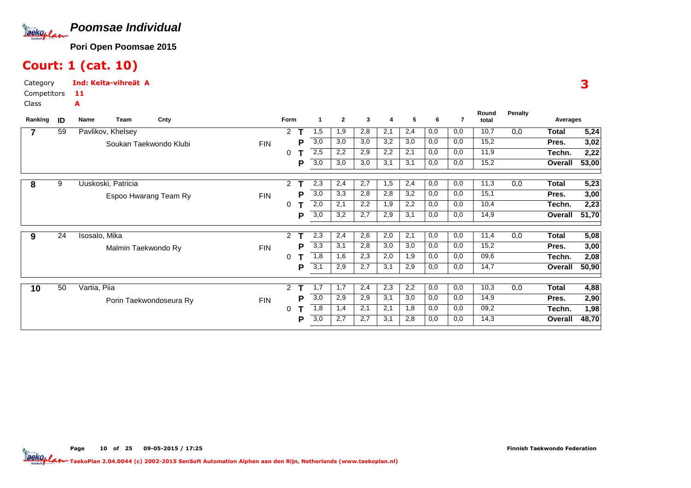

### Court: 1 (cat. 10)

A

Page

CategoryInd: Kelta-vihreät A

 Competitors11

Class

| Ranking | ID | Name              | Team                | Cnty                    |            | Form           |   | 1   | $\mathbf{2}$ | 3   | 4   | 5   | 6   | 7   | Round<br>total | Penalty | Averages       |       |
|---------|----|-------------------|---------------------|-------------------------|------------|----------------|---|-----|--------------|-----|-----|-----|-----|-----|----------------|---------|----------------|-------|
|         | 59 | Pavlikov, Khelsey |                     |                         |            | 2              |   | 1,5 | 1,9          | 2,8 | 2,1 | 2,4 | 0,0 | 0,0 | 10,7           | 0,0     | Total          | 5,24  |
|         |    |                   |                     | Soukan Taekwondo Klubi  | <b>FIN</b> |                | Р | 3,0 | 3,0          | 3,0 | 3,2 | 3,0 | 0,0 | 0,0 | 15,2           |         | Pres.          | 3,02  |
|         |    |                   |                     |                         |            | 0              |   | 2,5 | 2,2          | 2,9 | 2,2 | 2,1 | 0,0 | 0,0 | 11,9           |         | Techn.         | 2,22  |
|         |    |                   |                     |                         |            |                | P | 3,0 | 3,0          | 3,0 | 3,1 | 3,1 | 0,0 | 0,0 | 15,2           |         | Overall        | 53,00 |
| 8       | 9  |                   | Uuskoski, Patricia  |                         |            | $\overline{2}$ |   | 2,3 | 2,4          | 2,7 | 1,5 | 2,4 | 0,0 | 0,0 | 11,3           | 0,0     | Total          | 5,23  |
|         |    |                   |                     | Espoo Hwarang Team Ry   | <b>FIN</b> |                | Р | 3,0 | 3,3          | 2,8 | 2,8 | 3,2 | 0,0 | 0,0 | 15,1           |         | Pres.          | 3,00  |
|         |    |                   |                     |                         |            | 0              |   | 2,0 | 2,1          | 2,2 | 1,9 | 2,2 | 0,0 | 0,0 | 10,4           |         | Techn.         | 2,23  |
|         |    |                   |                     |                         |            |                | P | 3,0 | 3,2          | 2,7 | 2,9 | 3,1 | 0,0 | 0,0 | 14,9           |         | Overall        | 51,70 |
| 9       | 24 | Isosalo, Mika     |                     |                         |            | 2              |   | 2,3 | 2,4          | 2,6 | 2,0 | 2,1 | 0,0 | 0,0 | 11,4           | 0,0     | <b>Total</b>   | 5,08  |
|         |    |                   | Malmin Taekwondo Ry |                         | <b>FIN</b> |                | Р | 3,3 | 3,1          | 2,8 | 3,0 | 3,0 | 0,0 | 0,0 | 15,2           |         | Pres.          | 3,00  |
|         |    |                   |                     |                         |            | 0              |   | 1,8 | 1,6          | 2,3 | 2,0 | 1,9 | 0,0 | 0,0 | 09,6           |         | Techn.         | 2,08  |
|         |    |                   |                     |                         |            |                | P | 3,1 | 2,9          | 2,7 | 3,1 | 2,9 | 0,0 | 0,0 | 14,7           |         | Overall        | 50,90 |
| 10      | 50 | Vartia, Piia      |                     |                         |            | 2              |   | 1,7 | 1,7          | 2,4 | 2,3 | 2,2 | 0,0 | 0,0 | 10,3           | 0,0     | <b>Total</b>   | 4,88  |
|         |    |                   |                     | Porin Taekwondoseura Ry | <b>FIN</b> |                | Р | 3,0 | 2,9          | 2,9 | 3,1 | 3,0 | 0,0 | 0,0 | 14,9           |         | Pres.          | 2,90  |
|         |    |                   |                     |                         |            | 0              |   | 1,8 | 1,4          | 2,1 | 2,1 | 1,8 | 0,0 | 0,0 | 09,2           |         | Techn.         | 1,98  |
|         |    |                   |                     |                         |            |                | Р | 3,0 | 2,7          | 2,7 | 3,1 | 2,8 | 0,0 | 0,0 | 14,3           |         | <b>Overall</b> | 48,70 |
|         |    |                   |                     |                         |            |                |   |     |              |     |     |     |     |     |                |         |                |       |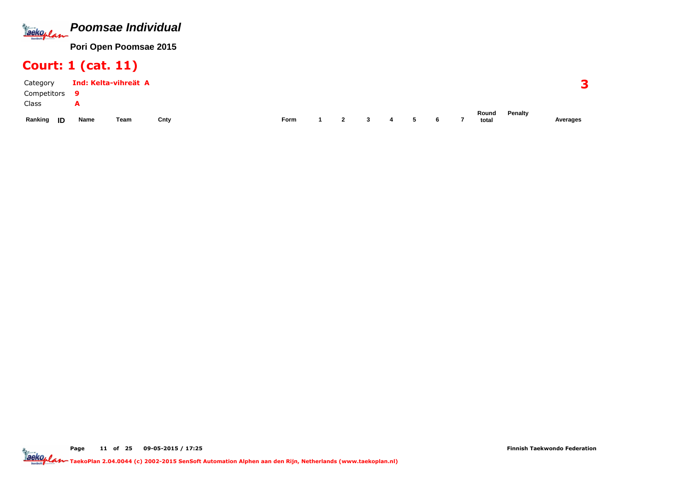

### Court: 1 (cat. 11)

| Category      |      | Ind: Kelta-vihreät A |      |             |                |              |   |   |                          |                |         |          |
|---------------|------|----------------------|------|-------------|----------------|--------------|---|---|--------------------------|----------------|---------|----------|
| Competitors   |      |                      |      |             |                |              |   |   |                          |                |         |          |
| Class         | -    |                      |      |             |                |              |   |   |                          |                |         |          |
| Ranking<br>ID | Name | Team                 | Cnty | <b>Form</b> | $\overline{2}$ | $\mathbf{3}$ | 4 | 6 | $\overline{\phantom{a}}$ | Round<br>total | Penalty | Averages |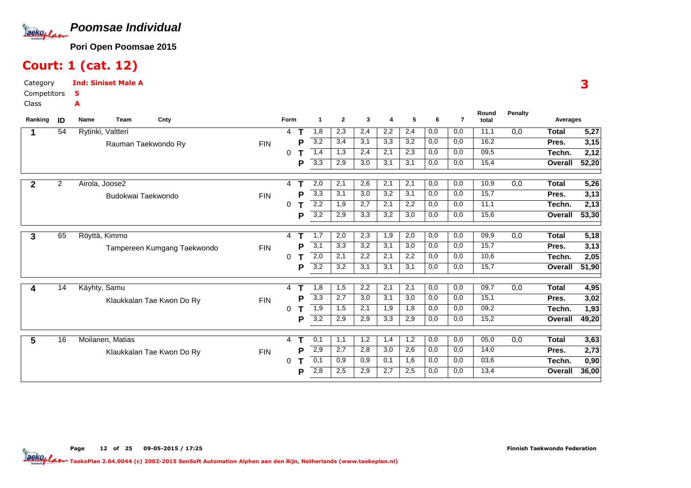

### Court: 1 (cat. 12)

CategoryInd: Siniset Male A5

A

Page

Competitors

Class

| Ranking      | ID             | Team<br>Cnty<br>Name        |            | Form |   | -1               | $\mathbf{2}$ | 3   | 4   | 5   | 6   | $\overline{7}$ | Round<br>total | <b>Penalty</b> | Averages     |       |
|--------------|----------------|-----------------------------|------------|------|---|------------------|--------------|-----|-----|-----|-----|----------------|----------------|----------------|--------------|-------|
|              | 54             | Rytinki, Valtteri           |            | 4    |   | 1,8              | 2,3          | 2,4 | 2,2 | 2,4 | 0,0 | 0,0            | 11,1           | 0,0            | <b>Total</b> | 5,27  |
|              |                | Rauman Taekwondo Ry         | <b>FIN</b> |      | Ρ | 3,2              | 3,4          | 3,1 | 3,3 | 3,2 | 0,0 | 0,0            | 16,2           |                | Pres.        | 3,15  |
|              |                |                             |            | 0    |   | 1,4              | 1,3          | 2,4 | 2,1 | 2,3 | 0,0 | 0,0            | 09,5           |                | Techn.       | 2,12  |
|              |                |                             |            |      | P | 3,3              | 2,9          | 3,0 | 3,1 | 3,1 | 0,0 | 0,0            | 15,4           |                | Overall      | 52,20 |
| $\mathbf{2}$ | $\overline{2}$ | Airola, Joose2              |            | 4    |   | 2,0              | 2,1          | 2,6 | 2,1 | 2,1 | 0,0 | 0,0            | 10,9           | 0,0            | <b>Total</b> | 5,26  |
|              |                | Budokwai Taekwondo          | <b>FIN</b> |      | Р | 3,3              | 3,1          | 3,0 | 3,2 | 3,1 | 0,0 | 0,0            | 15,7           |                | Pres.        | 3,13  |
|              |                |                             |            | 0    |   | 2,2              | 1,9          | 2,7 | 2,1 | 2,2 | 0,0 | 0,0            | 11,1           |                | Techn.       | 2,13  |
|              |                |                             |            |      | Р | 3,2              | 2,9          | 3,3 | 3,2 | 3,0 | 0,0 | 0,0            | 15,6           |                | Overall      | 53,30 |
| 3            | 65             | Röyttä, Kimmo               |            | 4    |   | 1,7              | 2,0          | 2,3 | 1,9 | 2,0 | 0,0 | 0,0            | 09,9           | 0,0            | <b>Total</b> | 5,18  |
|              |                | Tampereen Kumgang Taekwondo | <b>FIN</b> |      | Р | 3,1              | 3,3          | 3,2 | 3,1 | 3,0 | 0,0 | 0,0            | 15,7           |                | Pres.        | 3,13  |
|              |                |                             |            | 0    |   | 2,0              | 2,1          | 2,2 | 2,1 | 2,2 | 0,0 | 0,0            | 10,6           |                | Techn.       | 2,05  |
|              |                |                             |            |      | Р | $\overline{3,2}$ | 3,2          | 3,1 | 3,1 | 3,1 | 0,0 | 0,0            | 15,7           |                | Overall      | 51,90 |
| 4            | 14             | Käyhty, Samu                |            | 4    |   | 1,8              | 1,5          | 2,2 | 2,1 | 2,1 | 0,0 | 0,0            | 09,7           | 0,0            | <b>Total</b> | 4,95  |
|              |                | Klaukkalan Tae Kwon Do Ry   | <b>FIN</b> |      | P | 3,3              | 2,7          | 3,0 | 3,1 | 3,0 | 0,0 | 0,0            | 15,1           |                | Pres.        | 3,02  |
|              |                |                             |            | 0    |   | 1,9              | 1,5          | 2,1 | 1,9 | 1,8 | 0,0 | 0,0            | 09,2           |                | Techn.       | 1,93  |
|              |                |                             |            |      | Р | 3,2              | 2,9          | 2,9 | 3,3 | 2,9 | 0,0 | 0,0            | 15,2           |                | Overall      | 49,20 |
| 5            | 16             | Moilanen, Matias            |            | 4    | т | 0,1              | 1,1          | 1,2 | 1,4 | 1,2 | 0,0 | 0,0            | 05,0           | 0,0            | <b>Total</b> | 3,63  |
|              |                | Klaukkalan Tae Kwon Do Ry   | <b>FIN</b> |      |   | 2,9              | 2,7          | 2,8 | 3,0 | 2,6 | 0,0 | 0,0            | 14,0           |                | Pres.        | 2,73  |
|              |                |                             |            | 0    |   | 0,1              | 0,9          | 0,9 | 0,1 | 1,6 | 0,0 | 0,0            | 03,6           |                | Techn.       | 0,90  |
|              |                |                             |            |      | Р | 2,8              | 2,5          | 2,9 | 2,7 | 2,5 | 0,0 | 0,0            | 13,4           |                | Overall      | 36,00 |

#### 3

TaekoPlan 2.04.0044 (c) 2002-2015 SenSoft Automation Alphen aan den Rijn, Netherlands (www.taekoplan.nl)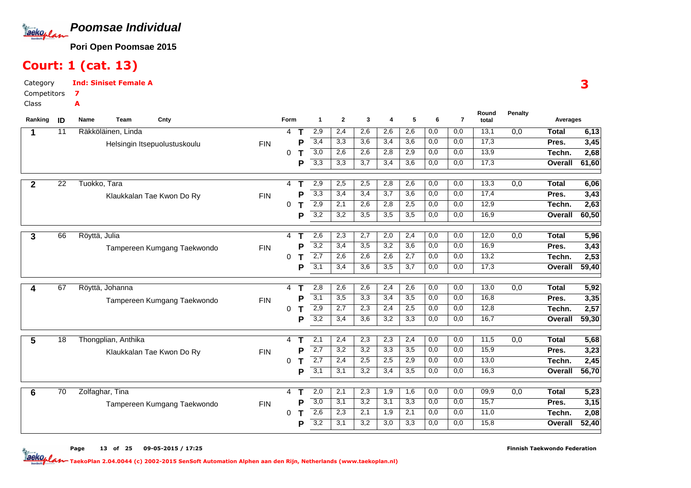

### Court: 1 (cat. 13)

7A

CategoryInd: Siniset Female A

Competitors

Class

| Ranking      | ID | Team<br>Name        | Cnty                         |            | Form     |        | $\mathbf{1}$            | $\mathbf{2}$ | 3          | $\boldsymbol{\Lambda}$ | 5                | 6                | $\overline{7}$ | Round<br>total | <b>Penalty</b>   | Averages        |               |
|--------------|----|---------------------|------------------------------|------------|----------|--------|-------------------------|--------------|------------|------------------------|------------------|------------------|----------------|----------------|------------------|-----------------|---------------|
|              | 11 | Räkköläinen, Linda  |                              |            | 4        | Т      | 2,9                     | 2,4          | 2,6        | 2,6                    | 2,6              | $\overline{0,0}$ | 0,0            | 13,1           | $\overline{0,0}$ | <b>Total</b>    | 6,13          |
|              |    |                     | Helsingin Itsepuolustuskoulu | <b>FIN</b> |          | P      | 3,4                     | 3,3          | 3,6        | 3,4                    | 3,6              | 0,0              | 0,0            | 17,3           |                  | Pres.           | 3,45          |
|              |    |                     |                              |            | 0        |        | 3,0                     | 2,6          | 2,6        | 2,8                    | 2,9              | 0,0              | 0,0            | 13,9           |                  | Techn.          | 2,68          |
|              |    |                     |                              |            |          | P      | $\overline{3,3}$        | 3,3          | 3,7        | 3,4                    | 3,6              | 0,0              | 0,0            | 17,3           |                  | Overall         | 61,60         |
|              |    |                     |                              |            |          |        |                         |              |            |                        |                  |                  |                |                |                  |                 |               |
| $\mathbf{2}$ | 22 | Tuokko, Tara        |                              |            | 4        |        | 2,9                     | 2,5          | 2,5        | 2,8                    | 2,6              | 0,0              | 0,0            | 13,3           | 0,0              | <b>Total</b>    | 6,06          |
|              |    |                     | Klaukkalan Tae Kwon Do Ry    | <b>FIN</b> |          | Р      | 3,3                     | 3,4          | 3,4        | 3,7                    | 3,6              | 0,0              | 0,0            | 17,4           |                  | Pres.           | 3,43          |
|              |    |                     |                              |            | 0        | т      | $\overline{2,9}$        | 2,1          | 2,6        | 2,8                    | 2,5              | 0,0              | 0,0            | 12,9           |                  | Techn.          | 2,63          |
|              |    |                     |                              |            |          | P      | 3,2                     | 3,2          | 3,5        | 3,5                    | $\overline{3,5}$ | 0,0              | 0,0            | 16,9           |                  | Overall         | 60,50         |
|              |    |                     |                              |            |          | т      | 2,6                     |              |            |                        |                  |                  | 0,0            | 12,0           |                  |                 |               |
| 3            | 66 | Röyttä, Julia       |                              |            | 4        |        |                         | 2,3          | 2,7        | 2,0                    | 2,4              | 0,0              |                |                | 0,0              | <b>Total</b>    | 5,96          |
|              |    |                     | Tampereen Kumgang Taekwondo  | <b>FIN</b> |          | Р      | 3,2<br>$\overline{2,7}$ | 3,4<br>2,6   | 3,5<br>2,6 | 3,2<br>2,6             | 3,6<br>2,7       | 0,0<br>0,0       | 0,0<br>0,0     | 16,9<br>13,2   |                  | Pres.<br>Techn. | 3,43          |
|              |    |                     |                              |            | 0        | т<br>P | $\overline{3,1}$        | 3,4          | 3,6        | 3,5                    | 3,7              | 0,0              | 0,0            | 17,3           |                  |                 | 2,53<br>59,40 |
|              |    |                     |                              |            |          |        |                         |              |            |                        |                  |                  |                |                |                  | Overall         |               |
| 4            | 67 | Röyttä, Johanna     |                              |            | 4        | т      | 2,8                     | 2,6          | 2,6        | 2,4                    | 2,6              | 0,0              | 0,0            | 13,0           | $\overline{0,0}$ | <b>Total</b>    | 5,92          |
|              |    |                     | Tampereen Kumgang Taekwondo  | <b>FIN</b> |          | Ρ      | $\overline{3,1}$        | 3,5          | 3,3        | 3,4                    | 3,5              | 0,0              | 0,0            | 16,8           |                  | Pres.           | 3,35          |
|              |    |                     |                              |            | 0        | т      | 2,9                     | 2,7          | 2,3        | 2,4                    | 2,5              | 0,0              | 0,0            | 12,8           |                  | Techn.          | 2,57          |
|              |    |                     |                              |            |          | P      | 3,2                     | 3.4          | 3,6        | 3,2                    | 3,3              | 0,0              | 0.0            | 16,7           |                  | Overall         | 59,30         |
|              |    |                     |                              |            |          |        |                         |              |            |                        |                  |                  |                |                |                  |                 |               |
| 5            | 18 | Thongplian, Anthika |                              |            | 4        | Т      | 2,1                     | 2,4          | 2,3        | 2,3                    | 2,4              | 0,0              | 0,0            | 11,5           | $\overline{0,0}$ | <b>Total</b>    | 5,68          |
|              |    |                     | Klaukkalan Tae Kwon Do Ry    | <b>FIN</b> |          | P      | 2,7                     | 3,2          | 3,2        | 3,3                    | 3,5              | 0,0              | 0,0            | 15,9           |                  | Pres.           | 3,23          |
|              |    |                     |                              |            | $\Omega$ | Т      | $\overline{2,7}$        | 2,4          | 2,5        | 2,5                    | 2,9              | 0,0              | 0,0            | 13,0           |                  | Techn.          | 2,45          |
|              |    |                     |                              |            |          | P      | 3,1                     | 3,1          | 3,2        | 3,4                    | 3,5              | 0,0              | 0,0            | 16,3           |                  | Overall         | 56,70         |
|              |    |                     |                              |            |          |        |                         |              |            |                        |                  |                  |                |                |                  |                 |               |
| 6            | 70 | Zolfaghar, Tina     |                              |            | 4        | т      | 2,0                     | 2,1          | 2,3        | 1,9                    | 1,6              | 0,0              | 0,0            | 09,9           | 0,0              | <b>Total</b>    | 5,23          |
|              |    |                     | Tampereen Kumgang Taekwondo  | <b>FIN</b> |          | Р      | $\overline{3,0}$<br>2,6 | 3,1<br>2,3   | 3,2<br>2,1 | 3,1<br>1,9             | 3,3<br>2,1       | 0,0              | 0,0<br>0,0     | 15,7<br>11,0   |                  | Pres.           | 3,15          |
|              |    |                     |                              |            | 0        | т      | 3,2                     | 3,1          | 3,2        | 3,0                    | 3,3              | 0,0<br>0,0       | 0,0            | 15,8           |                  | Techn.          | 2,08          |
|              |    |                     |                              |            |          | P      |                         |              |            |                        |                  |                  |                |                |                  | Overall         | 52,40         |

Page<sup>13</sup> of <sup>25</sup> 09-05-2015 / 17:25 Finnish Taekwondo Federation

TaekoPlan 2.04.0044 (c) 2002-2015 SenSoft Automation Alphen aan den Rijn, Netherlands (www.taekoplan.nl)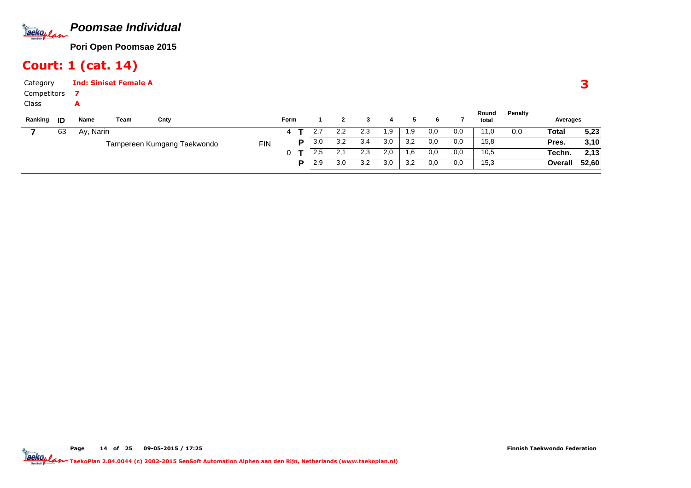

### Court: 1 (cat. 14)

| Category<br>Competitors<br>Class | A         | <b>Ind: Siniset Female A</b> |                             |            |      |   |     |              |     |     |     |     |     |                |         |          |       |
|----------------------------------|-----------|------------------------------|-----------------------------|------------|------|---|-----|--------------|-----|-----|-----|-----|-----|----------------|---------|----------|-------|
| Ranking<br>ID                    | Name      | Team                         | Cnty                        |            | Form |   |     | $\mathbf{2}$ | 3   | 4   | 5   | 6   |     | Round<br>total | Penalty | Averages |       |
| 63                               | Ay, Narin |                              |                             |            | 4    |   | 2,7 | 2,2          | 2,3 | 1,9 | 1,9 | 0,0 | 0,0 | 11,0           | 0,0     | Total    | 5,23  |
|                                  |           |                              | Tampereen Kumgang Taekwondo | <b>FIN</b> |      | P | 3,0 | 3,2          | 3,4 | 3,0 | 3,2 | 0,0 | 0,0 | 15,8           |         | Pres.    | 3,10  |
|                                  |           |                              |                             |            | 0    |   | 2,5 | 2,1          | 2,3 | 2,0 | 1,6 | 0,0 | 0,0 | 10,5           |         | Techn.   | 2,13  |
|                                  |           |                              |                             |            |      | Þ | 2,9 | 3,0          | 3,2 | 3,0 | 3,2 | 0,0 | 0,0 | 15,3           |         | Overall  | 52,60 |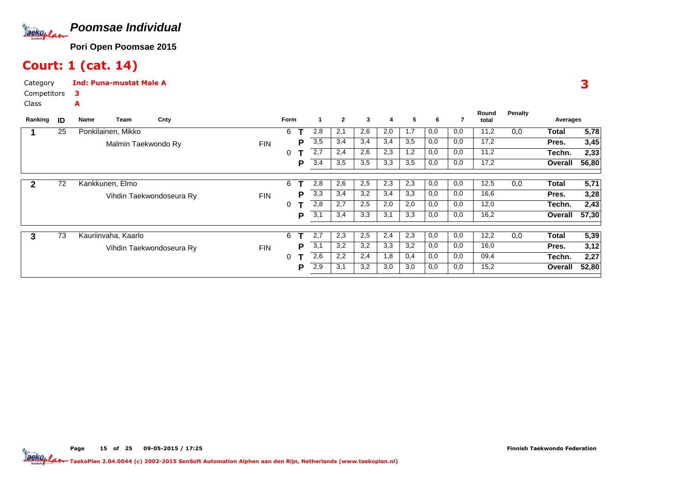

### Court: 1 (cat. 14)

A

CategoryInd: Puna-mustat Male A

 Competitors3

Class

| Ranking      | ID | Name                | Team                | Cnty                     |            | <b>Form</b> |   | -1  | $\overline{2}$ | 3   | 4   | 5   | 6   |     | Round<br>total | Penalty | Averages |       |
|--------------|----|---------------------|---------------------|--------------------------|------------|-------------|---|-----|----------------|-----|-----|-----|-----|-----|----------------|---------|----------|-------|
|              | 25 | Ponkilainen, Mikko  |                     |                          |            | 6           |   | 2,8 | 2,1            | 2,6 | 2,0 | 1,7 | 0,0 | 0,0 | 11,2           | 0,0     | Total    | 5,78  |
|              |    |                     | Malmin Taekwondo Ry |                          | <b>FIN</b> |             | P | 3,5 | 3,4            | 3,4 | 3,4 | 3,5 | 0,0 | 0,0 | 17,2           |         | Pres.    | 3,45  |
|              |    |                     |                     |                          |            | 0           |   | 2,7 | 2,4            | 2,6 | 2,3 | 1,2 | 0,0 | 0,0 | 11,2           |         | Techn.   | 2,33  |
|              |    |                     |                     |                          |            |             | P | 3,4 | 3,5            | 3,5 | 3,3 | 3,5 | 0,0 | 0,0 | 17,2           |         | Overall  | 56,80 |
| $\mathbf{2}$ | 72 | Kankkunen, Elmo     |                     |                          |            | 6           |   | 2,8 | 2,6            | 2,5 | 2,3 | 2,3 | 0,0 | 0,0 | 12,5           | 0,0     | Total    | 5,71  |
|              |    |                     |                     |                          |            |             |   |     |                |     |     |     |     |     |                |         |          |       |
|              |    |                     |                     | Vihdin Taekwondoseura Ry | <b>FIN</b> |             | P | 3,3 | 3,4            | 3,2 | 3,4 | 3,3 | 0,0 | 0,0 | 16,6           |         | Pres.    | 3,28  |
|              |    |                     |                     |                          |            | 0           |   | 2,8 | 2,7            | 2,5 | 2,0 | 2,0 | 0,0 | 0,0 | 12,0           |         | Techn.   | 2,43  |
|              |    |                     |                     |                          |            |             | P | 3,1 | 3,4            | 3,3 | 3,1 | 3,3 | 0,0 | 0,0 | 16,2           |         | Overall  | 57,30 |
| 3            | 73 | Kauriinvaha, Kaarlo |                     |                          |            | 6           |   | 2,7 | 2,3            | 2,5 | 2,4 | 2,3 | 0,0 | 0,0 | 12,2           | 0,0     | Total    | 5,39  |
|              |    |                     |                     |                          |            |             | Р | 3,1 | 3,2            | 3,2 | 3,3 | 3,2 | 0,0 | 0,0 | 16,0           |         | Pres.    |       |
|              |    |                     |                     | Vihdin Taekwondoseura Ry | <b>FIN</b> |             |   |     |                |     |     |     |     |     |                |         |          | 3,12  |
|              |    |                     |                     |                          |            | 0           |   | 2,6 | 2,2            | 2,4 | 1,8 | 0,4 | 0,0 | 0,0 | 09,4           |         | Techn.   | 2,27  |
|              |    |                     |                     |                          |            |             | P | 2,9 | 3,1            | 3,2 | 3,0 | 3,0 | 0,0 | 0,0 | 15,2           |         | Overall  | 52,80 |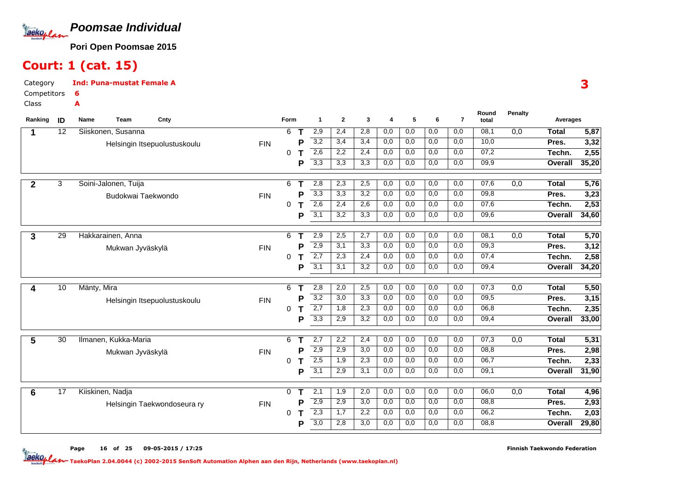

# Court: 1 (cat. 15)

6A

Page

CategoryInd: Puna-mustat Female A

Competitors

Class

| Ranking      | ID              | Team<br>Cnty<br>Name         |            | Form |   | $\mathbf{1}$     | $\mathbf{2}$     | 3                | 4   | 5   | 6                | $\overline{7}$ | Round<br>total | <b>Penalty</b>   | Averages     |       |
|--------------|-----------------|------------------------------|------------|------|---|------------------|------------------|------------------|-----|-----|------------------|----------------|----------------|------------------|--------------|-------|
|              | 12              | Siiskonen, Susanna           |            | 6    | Τ | 2,9              | 2,4              | 2,8              | 0,0 | 0,0 | $\overline{0,0}$ | 0,0            | 08,1           | $\overline{0,0}$ | <b>Total</b> | 5,87  |
|              |                 | Helsingin Itsepuolustuskoulu | <b>FIN</b> |      | P | 3,2              | 3,4              | 3,4              | 0,0 | 0,0 | 0,0              | 0,0            | 10,0           |                  | Pres.        | 3,32  |
|              |                 |                              |            | 0    |   | 2,6              | 2,2              | 2,4              | 0,0 | 0,0 | 0,0              | 0,0            | 07,2           |                  | Techn.       | 2,55  |
|              |                 |                              |            |      | P | 3,3              | 3,3              | 3,3              | 0,0 | 0,0 | 0,0              | 0,0            | 09,9           |                  | Overall      | 35,20 |
|              |                 |                              |            |      |   |                  |                  |                  |     |     |                  |                |                |                  |              |       |
| $\mathbf{2}$ | 3               | Soini-Jalonen, Tuija         |            | 6    | т | 2,8              | 2,3              | 2,5              | 0,0 | 0,0 | 0,0              | 0,0            | 07,6           | 0,0              | <b>Total</b> | 5,76  |
|              |                 | Budokwai Taekwondo           | <b>FIN</b> |      | Р | 3,3              | 3,3              | 3,2              | 0,0 | 0,0 | 0,0              | 0,0            | 09,8           |                  | Pres.        | 3,23  |
|              |                 |                              |            | 0    | т | 2,6              | 2,4              | 2,6              | 0,0 | 0,0 | 0,0              | 0,0            | 07,6           |                  | Techn.       | 2,53  |
|              |                 |                              |            |      | P | $\overline{3,1}$ | $\overline{3,2}$ | 3,3              | 0,0 | 0,0 | 0,0              | 0,0            | 09,6           |                  | Overall      | 34,60 |
|              |                 |                              |            |      |   |                  |                  |                  |     |     |                  |                |                |                  |              |       |
| 3            | 29              | Hakkarainen, Anna            |            | 6    | т | 2,9              | 2,5              | 2,7              | 0,0 | 0,0 | 0,0              | 0,0            | 08,1           | 0,0              | <b>Total</b> | 5,70  |
|              |                 | Mukwan Jyväskylä             | <b>FIN</b> |      | Р | 2,9              | 3,1              | 3,3              | 0,0 | 0,0 | 0,0              | 0,0            | 09,3           |                  | Pres.        | 3,12  |
|              |                 |                              |            | 0    | т | $\overline{2,7}$ | 2,3              | 2,4              | 0,0 | 0,0 | 0,0              | 0,0            | 07,4           |                  | Techn.       | 2,58  |
|              |                 |                              |            |      | P | $\overline{3,1}$ | 3,1              | 3,2              | 0,0 | 0,0 | 0,0              | 0,0            | 09,4           |                  | Overall      | 34,20 |
|              | 10              | Mänty, Mira                  |            | 6    | т | 2,8              | 2,0              | 2,5              | 0,0 | 0,0 | $\overline{0,0}$ | 0,0            | 07,3           | 0,0              | <b>Total</b> | 5,50  |
| 4            |                 |                              |            |      | Ρ | 3,2              | 3,0              | 3,3              | 0,0 | 0,0 | 0,0              | 0,0            | 09,5           |                  | Pres.        | 3,15  |
|              |                 | Helsingin Itsepuolustuskoulu | <b>FIN</b> | 0    | т | 2,7              | 1,8              | 2,3              | 0,0 | 0,0 | 0,0              | 0,0            | 06,8           |                  | Techn.       | 2,35  |
|              |                 |                              |            |      | P | 3,3              | 2,9              | $\overline{3,2}$ | 0,0 | 0,0 | 0,0              | 0,0            | 09,4           |                  | Overall      | 33,00 |
|              |                 |                              |            |      |   |                  |                  |                  |     |     |                  |                |                |                  |              |       |
| 5            | $\overline{30}$ | Ilmanen, Kukka-Maria         |            | 6    | Т | 2,7              | 2,2              | 2,4              | 0,0 | 0,0 | 0,0              | 0,0            | 07,3           | 0,0              | <b>Total</b> | 5,31  |
|              |                 | Mukwan Jyväskylä             | <b>FIN</b> |      | Р | 2,9              | 2,9              | 3,0              | 0,0 | 0,0 | 0,0              | 0,0            | 08,8           |                  | Pres.        | 2,98  |
|              |                 |                              |            | 0    | Т | 2,5              | 1,9              | 2,3              | 0,0 | 0,0 | 0,0              | 0,0            | 06,7           |                  | Techn.       | 2,33  |
|              |                 |                              |            |      | P | 3,1              | 2,9              | 3,1              | 0,0 | 0,0 | 0,0              | 0,0            | 09,1           |                  | Overall      | 31,90 |
|              |                 |                              |            |      |   |                  |                  |                  |     |     |                  |                |                |                  |              |       |
| 6            | $\overline{17}$ | Kiiskinen, Nadja             |            | 0    | Т | 2,1              | 1,9              | 2,0              | 0,0 | 0,0 | 0,0              | 0,0            | 06,0           | 0,0              | <b>Total</b> | 4,96  |
|              |                 | Helsingin Taekwondoseura ry  | <b>FIN</b> |      | P | $\overline{2,9}$ | 2,9              | 3,0              | 0,0 | 0,0 | 0,0              | 0,0            | 08,8           |                  | Pres.        | 2,93  |
|              |                 |                              |            | 0    | т | $\overline{2,3}$ | 1,7              | 2,2              | 0,0 | 0,0 | 0,0              | 0,0            | 06,2           |                  | Techn.       | 2,03  |
|              |                 |                              |            |      | P | 3,0              | 2,8              | 3,0              | 0,0 | 0,0 | 0,0              | 0,0            | 08,8           |                  | Overall      | 29,80 |

TaekoPlan 2.04.0044 (c) 2002-2015 SenSoft Automation Alphen aan den Rijn, Netherlands (www.taekoplan.nl)

<sup>16</sup> of <sup>25</sup> 09-05-2015 / 17:25

Finnish Taekwondo Federation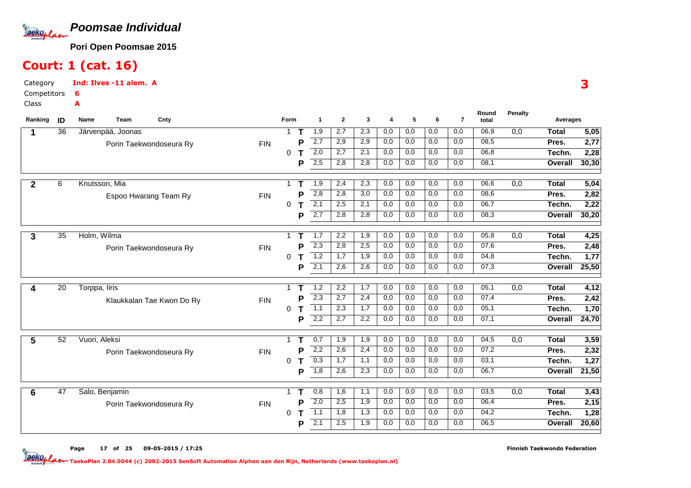

### Court: 1 (cat. 16)

A

CategoryInd: Ilves -11 alem. A6

Competitors

Class

| Ranking | ID              | Team<br>Name      | Cnty                      |            | Form         |             | $\mathbf{1}$     | $\mathbf{2}$ | 3          | 4                | 5          | 6                | $\overline{7}$ | Round<br>total | <b>Penalty</b>   | Averages     |       |
|---------|-----------------|-------------------|---------------------------|------------|--------------|-------------|------------------|--------------|------------|------------------|------------|------------------|----------------|----------------|------------------|--------------|-------|
|         | 36              | Järvenpää, Joonas |                           |            | $\mathbf{1}$ | $\mathsf T$ | 1,9              | 2,7          | 2,3        | 0,0              | 0,0        | $\overline{0,0}$ | 0,0            | 06,9           | $\overline{0,0}$ | <b>Total</b> | 5,05  |
|         |                 |                   | Porin Taekwondoseura Ry   | <b>FIN</b> |              | D           | 2,7              | 2,9          | 2,9        | 0,0              | 0,0        | 0,0              | 0,0            | 08,5           |                  | Pres.        | 2,77  |
|         |                 |                   |                           |            | 0            |             | 2,0              | 2,7          | 2,1        | 0,0              | 0,0        | 0,0              | 0,0            | 06,8           |                  | Techn.       | 2,28  |
|         |                 |                   |                           |            |              | P           | $\overline{2,5}$ | 2,8          | 2,8        | 0,0              | 0,0        | 0,0              | 0,0            | 08,1           |                  | Overall      | 30,30 |
|         |                 |                   |                           |            |              |             |                  |              |            |                  |            |                  |                |                |                  |              |       |
|         | 6               | Knutsson, Mia     |                           |            | 1            |             | 1,9              | 2,4          | 2,3        | 0,0              | 0,0        | 0,0              | 0,0            | 06,6           | 0,0              | <b>Total</b> | 5,04  |
|         |                 |                   | Espoo Hwarang Team Ry     | <b>FIN</b> |              | Р           | $\overline{2,8}$ | 2,8          | 3,0        | 0,0              | 0,0        | 0,0              | 0,0            | 08,6           |                  | Pres.        | 2,82  |
|         |                 |                   |                           |            | 0            | Т           | $\overline{2,1}$ | 2,5          | 2,1        | 0,0              | 0,0        | 0,0              | 0,0            | 06,7           |                  | Techn.       | 2,22  |
|         |                 |                   |                           |            |              | P           | $\overline{2,7}$ | 2,8          | 2,8        | 0,0              | 0,0        | 0,0              | 0,0            | 08,3           |                  | Overall      | 30,20 |
|         |                 |                   |                           |            |              |             |                  |              |            |                  |            |                  |                |                |                  |              |       |
|         | $\overline{35}$ | Holm, Wilma       |                           |            | 1            | т           | 1,7              | 2,2          | 1,9        | 0,0              | 0,0        | 0,0              | 0,0            | 05,8           | 0,0              | <b>Total</b> | 4,25  |
|         |                 |                   | Porin Taekwondoseura Ry   | <b>FIN</b> |              | P           | $\overline{2,3}$ | 2,8          | 2,5        | 0,0              | 0,0        | 0,0              | 0,0            | 07,6           |                  | Pres.        | 2,48  |
|         |                 |                   |                           |            | 0            | т           | 1,2              | 1,7          | 1,9        | 0,0              | 0,0        | 0,0              | 0,0            | 04,8           |                  | Techn.       | 1,77  |
|         |                 |                   |                           |            |              | P           | 2,1              | 2,6          | 2,6        | 0,0              | 0,0        | 0,0              | 0,0            | 07,3           |                  | Overall      | 25,50 |
|         |                 |                   |                           |            |              |             |                  |              |            |                  |            |                  |                |                |                  |              |       |
|         | 20              | Torppa, liris     |                           |            | 1            | Т           | 1,2              | 2,2          | 1,7        | 0,0              | 0,0        | 0,0              | 0,0            | 05,1           | 0,0              | <b>Total</b> | 4,12  |
|         |                 |                   | Klaukkalan Tae Kwon Do Ry | <b>FIN</b> |              | Р           | 2,3              | 2,7          | 2,4        | $\overline{0,0}$ | 0,0        | 0,0              | 0,0            | 07,4           |                  | Pres.        | 2,42  |
|         |                 |                   |                           |            | 0            | Т           | 1,1<br>2,2       | 2,3<br>2,7   | 1,7<br>2,2 | 0,0              | 0,0<br>0,0 | 0,0<br>0,0       | 0,0<br>0,0     | 05,1<br>07,1   |                  | Techn.       | 1,70  |
|         |                 |                   |                           |            |              | P           |                  |              |            | 0,0              |            |                  |                |                |                  | Overall      | 24,70 |
|         | 52              | Vuori, Aleksi     |                           |            | 1            | Т           | 0,7              | 1,9          | 1,9        | 0,0              | 0,0        | 0,0              | 0,0            | 04,5           | 0,0              | <b>Total</b> | 3,59  |
|         |                 |                   | Porin Taekwondoseura Ry   | <b>FIN</b> |              | Р           | 2,2              | 2,6          | 2,4        | 0,0              | 0,0        | 0,0              | 0,0            | 07,2           |                  | Pres.        | 2,32  |
|         |                 |                   |                           |            | $\Omega$     | Т           | 0,3              | 1,7          | 1,1        | 0,0              | 0,0        | 0,0              | 0,0            | 03,1           |                  | Techn.       | 1,27  |
|         |                 |                   |                           |            |              | P           | 1,8              | 2,6          | 2,3        | 0,0              | 0,0        | 0,0              | 0,0            | 06,7           |                  | Overall      | 21,50 |
|         |                 |                   |                           |            |              |             |                  |              |            |                  |            |                  |                |                |                  |              |       |
|         | $\overline{47}$ | Salo, Benjamin    |                           |            | 1            | т           | 0,8              | 1,6          | 1,1        | 0,0              | 0,0        | 0,0              | 0,0            | 03,5           | 0,0              | <b>Total</b> | 3,43  |
|         |                 |                   |                           | <b>FIN</b> |              | Р           | $\overline{2,0}$ | 2,5          | 1,9        | 0,0              | 0,0        | 0,0              | 0,0            | 06,4           |                  | Pres.        | 2,15  |
|         |                 |                   |                           |            | 0            |             | 1,1              | 1,8          | 1,3        | 0,0              | 0,0        | 0,0              | 0,0            | 04,2           |                  | Techn.       | 1,28  |
|         |                 |                   |                           |            |              | P           | $\overline{2,1}$ | 2,5          | 1,9        | 0,0              | 0,0        | 0,0              | 0,0            | 06,5           |                  | Overall      | 20,60 |
|         |                 |                   | Porin Taekwondoseura Ry   |            |              |             |                  |              |            |                  |            |                  |                |                |                  |              |       |

Page<sup>17</sup> of <sup>25</sup> 09-05-2015 / 17:25 Finnish Taekwondo Federation

TaekoPlan 2.04.0044 (c) 2002-2015 SenSoft Automation Alphen aan den Rijn, Netherlands (www.taekoplan.nl)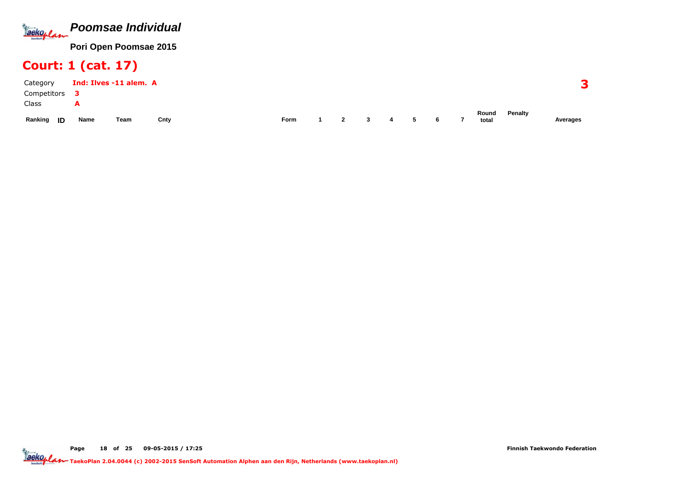

### Court: 1 (cat. 17)

| Category      |      | Ind: Ilves -11 alem. A |      |      |   |              |                |     |   |   |                |         |          |
|---------------|------|------------------------|------|------|---|--------------|----------------|-----|---|---|----------------|---------|----------|
| Competitors   |      |                        |      |      |   |              |                |     |   |   |                |         |          |
| Class         |      |                        |      |      |   |              |                |     |   |   |                |         |          |
| Ranking<br>ID | Name | Team                   | Cnty | Form | 2 | $\mathbf{3}$ | $\overline{a}$ | - 5 | 6 | 7 | Round<br>total | Penalty | Averages |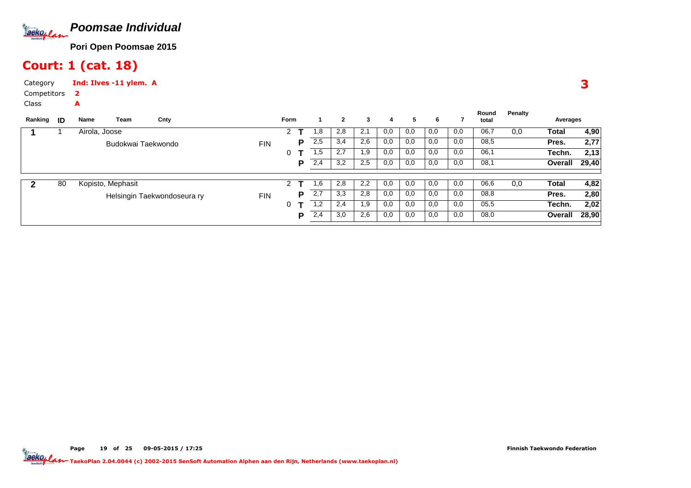

### Court: 1 (cat. 18)

A

Page

CategoryInd: Ilves -11 ylem. A

 Competitors2

Class

| Ranking | ID | Name          | Team               | Cnty                        |            | Form |   |     | $\overline{2}$ | 3   | 4   | 5.  | 6   |     | Round<br>total | Penalty | Averages |       |
|---------|----|---------------|--------------------|-----------------------------|------------|------|---|-----|----------------|-----|-----|-----|-----|-----|----------------|---------|----------|-------|
|         |    | Airola, Joose |                    |                             |            | 2    |   | 1,8 | 2,8            | 2,1 | 0,0 | 0,0 | 0,0 | 0,0 | 06,7           | 0,0     | Total    | 4,90  |
|         |    |               | Budokwai Taekwondo |                             | <b>FIN</b> |      | Р | 2,5 | 3,4            | 2,6 | 0,0 | 0,0 | 0,0 | 0,0 | 08,5           |         | Pres.    | 2,77  |
|         |    |               |                    |                             |            | 0    |   | 1,5 | 2,7            | 1,9 | 0,0 | 0,0 | 0,0 | 0,0 | 06,1           |         | Techn.   | 2,13  |
|         |    |               |                    |                             |            |      | P | 2,4 | 3,2            | 2,5 | 0,0 | 0,0 | 0,0 | 0,0 | 08,1           |         | Overall  | 29,40 |
|         |    |               |                    |                             |            |      |   |     |                |     |     |     |     |     |                |         |          |       |
| 2       | 80 |               | Kopisto, Mephasit  |                             |            | 2    | т | 1,6 | 2,8            | 2,2 | 0,0 | 0,0 | 0,0 | 0,0 | 06,6           | 0,0     | Total    | 4,82  |
|         |    |               |                    | Helsingin Taekwondoseura ry | <b>FIN</b> |      | Р | 2,7 | 3,3            | 2,8 | 0,0 | 0,0 | 0,0 | 0,0 | 08,8           |         | Pres.    | 2,80  |
|         |    |               |                    |                             |            | 0    |   | 1,2 | 2,4            | 1,9 | 0,0 | 0,0 | 0,0 | 0,0 | 05,5           |         | Techn.   | 2,02  |
|         |    |               |                    |                             |            |      | P | 2,4 | 3,0            | 2,6 | 0,0 | 0,0 | 0,0 | 0,0 | 08,0           |         | Overall  | 28,90 |
|         |    |               |                    |                             |            |      |   |     |                |     |     |     |     |     |                |         |          |       |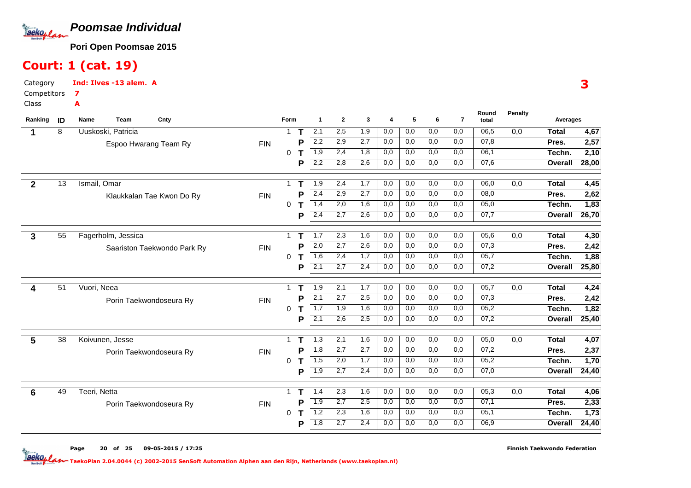

### Court: 1 (cat. 19)

7A

CategoryInd: Ilves -13 alem. A

Competitors

Class

| Ranking        | ID              | Team<br>Cnty<br>Name        |            | Form         |   | $\mathbf{1}$     | $\mathbf{2}$ | 3   | 4   | 5   | 6                | $\overline{7}$ | Round<br>total | <b>Penalty</b>   | Averages     |       |
|----------------|-----------------|-----------------------------|------------|--------------|---|------------------|--------------|-----|-----|-----|------------------|----------------|----------------|------------------|--------------|-------|
|                | 8               | Uuskoski, Patricia          |            | $\mathbf{1}$ | Т | 2,1              | 2,5          | 1,9 | 0,0 | 0,0 | $\overline{0,0}$ | 0,0            | 06,5           | $\overline{0,0}$ | <b>Total</b> | 4,67  |
|                |                 | Espoo Hwarang Team Ry       | <b>FIN</b> |              | D | 2,2              | 2,9          | 2,7 | 0,0 | 0,0 | 0,0              | 0,0            | 07,8           |                  | Pres.        | 2,57  |
|                |                 |                             |            | 0            |   | 1,9              | 2,4          | 1,8 | 0,0 | 0,0 | 0,0              | 0,0            | 06,1           |                  | Techn.       | 2,10  |
|                |                 |                             |            |              | P | 2,2              | 2,8          | 2,6 | 0,0 | 0,0 | 0,0              | 0,0            | 07,6           |                  | Overall      | 28,00 |
|                | 13              | Ismail, Omar                |            | 1            |   | 1,9              | 2,4          | 1,7 | 0,0 | 0,0 | 0,0              | 0,0            | 06,0           | 0,0              | <b>Total</b> | 4,45  |
| $\overline{2}$ |                 |                             |            |              | Р | 2,4              | 2,9          | 2,7 | 0,0 | 0,0 | 0,0              | 0,0            | 08,0           |                  | Pres.        | 2,62  |
|                |                 | Klaukkalan Tae Kwon Do Ry   | <b>FIN</b> | 0            | Т | 1,4              | 2,0          | 1,6 | 0,0 | 0,0 | 0,0              | 0,0            | 05,0           |                  | Techn.       | 1,83  |
|                |                 |                             |            |              | P | 2,4              | 2,7          | 2,6 | 0,0 | 0,0 | 0,0              | 0,0            | 07,7           |                  | Overall      | 26,70 |
|                |                 |                             |            |              |   |                  |              |     |     |     |                  |                |                |                  |              |       |
| 3              | 55              | Fagerholm, Jessica          |            |              | т | 1,7              | 2,3          | 1,6 | 0,0 | 0,0 | 0,0              | 0,0            | 05,6           | 0,0              | <b>Total</b> | 4,30  |
|                |                 | Saariston Taekwondo Park Ry | <b>FIN</b> |              | P | 2,0              | 2,7          | 2,6 | 0,0 | 0,0 | 0,0              | 0,0            | 07,3           |                  | Pres.        | 2,42  |
|                |                 |                             |            | 0            | т | 1,6              | 2,4          | 1,7 | 0,0 | 0,0 | 0,0              | 0,0            | 05,7           |                  | Techn.       | 1,88  |
|                |                 |                             |            |              | P | $\overline{2,1}$ | 2,7          | 2,4 | 0,0 | 0,0 | 0,0              | 0,0            | 07,2           |                  | Overall      | 25,80 |
|                |                 |                             |            |              |   |                  |              |     |     |     |                  |                |                |                  |              |       |
| 4              | $\overline{51}$ | Vuori, Neea                 |            | 1            | т | 1,9              | 2,1          | 1,7 | 0,0 | 0,0 | 0,0              | 0,0            | 05,7           | 0,0              | <b>Total</b> | 4,24  |
|                |                 | Porin Taekwondoseura Ry     | <b>FIN</b> |              | Р | 2,1              | 2,7          | 2,5 | 0,0 | 0,0 | 0,0              | 0,0            | 07,3           |                  | Pres.        | 2,42  |
|                |                 |                             |            | 0            | Т | 1,7              | 1,9          | 1,6 | 0,0 | 0,0 | 0,0              | 0,0            | 05,2           |                  | Techn.       | 1,82  |
|                |                 |                             |            |              | P | 2,1              | 2,6          | 2,5 | 0,0 | 0,0 | 0,0              | 0,0            | 07,2           |                  | Overall      | 25,40 |
| 5              | 38              | Koivunen, Jesse             |            | 1            |   | 1,3              | 2,1          | 1,6 | 0,0 | 0,0 | 0,0              | 0,0            | 05,0           | 0,0              | <b>Total</b> | 4,07  |
|                |                 | Porin Taekwondoseura Ry     | <b>FIN</b> |              | P | 1,8              | 2,7          | 2,7 | 0,0 | 0,0 | 0,0              | 0,0            | 07,2           |                  | Pres.        | 2,37  |
|                |                 |                             |            | $\Omega$     | Т | 1,5              | 2,0          | 1,7 | 0,0 | 0,0 | 0,0              | 0,0            | 05,2           |                  | Techn.       | 1,70  |
|                |                 |                             |            |              | P | 1,9              | 2,7          | 2,4 | 0,0 | 0,0 | 0,0              | 0,0            | 07,0           |                  | Overall      | 24,40 |
|                |                 |                             |            |              |   |                  |              |     |     |     |                  |                |                |                  |              |       |
| 6              | 49              | Teeri, Netta                |            | 1            | Т | 1,4              | 2,3          | 1,6 | 0,0 | 0,0 | 0,0              | 0,0            | 05,3           | 0,0              | <b>Total</b> | 4,06  |
|                |                 | Porin Taekwondoseura Ry     | <b>FIN</b> |              | Р | 1,9              | 2,7          | 2,5 | 0,0 | 0,0 | 0,0              | 0,0            | 07,1           |                  | Pres.        | 2,33  |
|                |                 |                             |            | 0            |   | 1,2              | 2,3          | 1,6 | 0,0 | 0,0 | 0,0              | 0,0            | 0,1            |                  | Techn.       | 1,73  |
|                |                 |                             |            |              | P | $\overline{1,8}$ | 2,7          | 2,4 | 0,0 | 0,0 | 0,0              | 0,0            | 06,9           |                  | Overall      | 24,40 |

Pagee 20 of <sup>25</sup> 09-05-2015 / 17:25

TaekoPlan 2.04.0044 (c) 2002-2015 SenSoft Automation Alphen aan den Rijn, Netherlands (www.taekoplan.nl)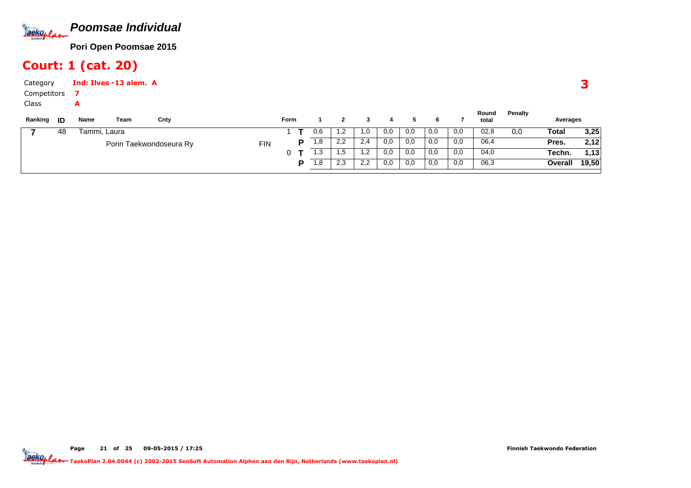

### Court: 1 (cat. 20)

| Category<br>Competitors |    |              | Ind: Ilves -13 alem. A |                         |            |             |   |      |                |     |     |     |     |     |                |         |          |       |
|-------------------------|----|--------------|------------------------|-------------------------|------------|-------------|---|------|----------------|-----|-----|-----|-----|-----|----------------|---------|----------|-------|
| Class<br>Ranking        | ID | A<br>Name    | Team                   | Cnty                    |            | <b>Form</b> |   |      | $\overline{2}$ |     | 4   | 5.  | 6   |     | Round<br>total | Penalty | Averages |       |
|                         | 48 | Tammi, Laura |                        |                         |            |             |   | 0,6  | . ,2           | 1,0 | 0,0 | 0,0 | 0,0 | 0,0 | 02,8           | 0,0     | Total    | 3,25  |
|                         |    |              |                        | Porin Taekwondoseura Ry | <b>FIN</b> |             | Р | 1,8  | 2,2            | 2,4 | 0,0 | 0,0 | 0,0 | 0,0 | 06,4           |         | Pres.    | 2,12  |
|                         |    |              |                        |                         |            | 0           |   | 1.3  | 1,5            | 1,2 | 0,0 | 0,0 | 0,0 | 0,0 | 04,0           |         | Techn.   | 1,13  |
|                         |    |              |                        |                         |            |             | P | 8, ا | 2,3            | 2,2 | 0,0 | 0,0 | 0,0 | 0,0 | 06,3           |         | Overall  | 19.50 |

**P** 1,8 | 2,3 | 2,2 | 0,0 | 0,0 | 0,0 | 0,0

**Overall 19,50**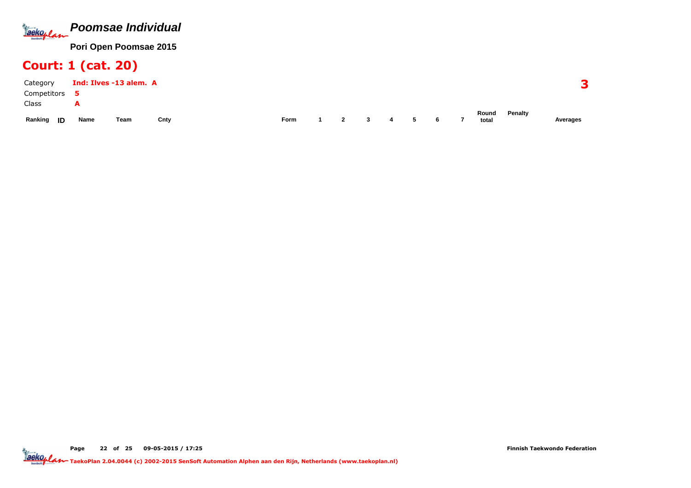

### Court: 1 (cat. 20)

| Category      |      | Ind: Ilves -13 alem. A |      |      |                |                         |   |   |   |                |                |         |          |
|---------------|------|------------------------|------|------|----------------|-------------------------|---|---|---|----------------|----------------|---------|----------|
| Competitors   |      |                        |      |      |                |                         |   |   |   |                |                |         |          |
| Class         | A    |                        |      |      |                |                         |   |   |   |                |                |         |          |
| Ranking<br>ID | Name | Team                   | Cnty | Form | $\overline{2}$ | $\overline{\mathbf{3}}$ | 4 | 5 | 6 | $\overline{7}$ | Round<br>total | Penalty | Averages |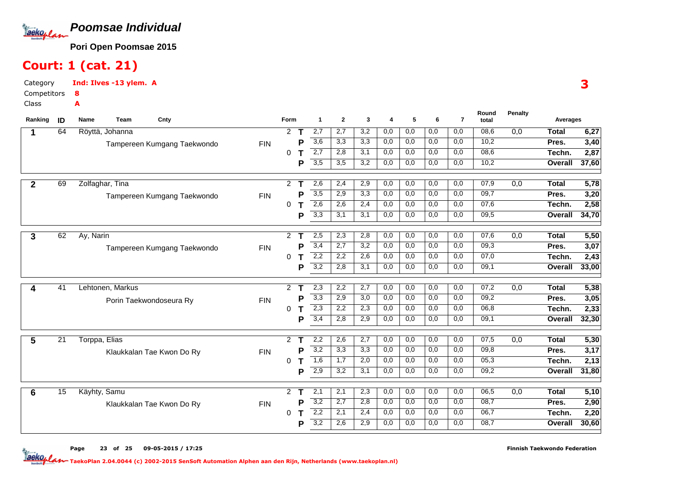

# Court: 1 (cat. 21)

8A

CategoryInd: Ilves -13 ylem. A

Competitors

Class

| Ranking      | ID              | <b>Team</b><br>Name | Cnty                        |            | Form                 |   | $\mathbf 1$      | $\overline{2}$   | 3   | 4   | 5   | 6   | $\overline{7}$ | Round<br>total | <b>Penalty</b> | Averages     |       |
|--------------|-----------------|---------------------|-----------------------------|------------|----------------------|---|------------------|------------------|-----|-----|-----|-----|----------------|----------------|----------------|--------------|-------|
|              | 64              | Röyttä, Johanna     |                             |            | $\overline{2}$       | т | 2,7              | 2,7              | 3,2 | 0,0 | 0,0 | 0,0 | 0,0            | 08,6           | 0,0            | <b>Total</b> | 6,27  |
|              |                 |                     | Tampereen Kumgang Taekwondo | <b>FIN</b> |                      | P | 3,6              | 3,3              | 3,3 | 0,0 | 0,0 | 0,0 | 0,0            | 10,2           |                | Pres.        | 3,40  |
|              |                 |                     |                             |            | 0                    |   | 2,7              | 2,8              | 3,1 | 0,0 | 0,0 | 0,0 | 0,0            | 08,6           |                | Techn.       | 2,87  |
|              |                 |                     |                             |            |                      | P | $\overline{3,5}$ | $\overline{3,5}$ | 3,2 | 0.0 | 0,0 | 0,0 | 0,0            | 10,2           |                | Overall      | 37,60 |
| $\mathbf{2}$ | 69              | Zolfaghar, Tina     |                             |            | $\overline{2}$       |   | 2,6              | 2,4              | 2,9 | 0,0 | 0,0 | 0,0 | 0,0            | 07,9           | 0,0            | <b>Total</b> | 5,78  |
|              |                 |                     | Tampereen Kumgang Taekwondo | <b>FIN</b> |                      | P | $\overline{3,5}$ | 2,9              | 3,3 | 0,0 | 0,0 | 0,0 | 0,0            | 09,7           |                | Pres.        | 3,20  |
|              |                 |                     |                             |            | 0                    | т | 2,6              | 2,6              | 2,4 | 0,0 | 0,0 | 0,0 | 0,0            | 07,6           |                | Techn.       | 2,58  |
|              |                 |                     |                             |            |                      | P | $\overline{3,3}$ | 3,1              | 3,1 | 0,0 | 0,0 | 0,0 | 0,0            | 09,5           |                | Overall      | 34,70 |
| 3            | 62              | Ay, Narin           |                             |            | $\mathbf{2}^{\circ}$ | т | 2,5              | 2,3              | 2,8 | 0,0 | 0,0 | 0,0 | 0,0            | 07,6           | 0,0            | <b>Total</b> | 5,50  |
|              |                 |                     |                             | <b>FIN</b> |                      | P | 3,4              | 2,7              | 3,2 | 0,0 | 0,0 | 0,0 | 0,0            | 09,3           |                | Pres.        | 3,07  |
|              |                 |                     | Tampereen Kumgang Taekwondo |            | 0                    | т | 2,2              | 2,2              | 2,6 | 0,0 | 0,0 | 0,0 | 0,0            | 07,0           |                | Techn.       | 2,43  |
|              |                 |                     |                             |            |                      | P | 3,2              | 2,8              | 3,1 | 0,0 | 0,0 | 0,0 | 0,0            | 09,1           |                | Overall      | 33,00 |
|              | 41              | Lehtonen, Markus    |                             |            | $\mathbf{2}^{\circ}$ |   | 2,3              | 2,2              | 2,7 | 0,0 | 0,0 | 0,0 | 0,0            | 07,2           | 0,0            | <b>Total</b> | 5,38  |
| 4            |                 |                     |                             |            |                      | P | 3,3              | 2,9              | 3,0 | 0,0 | 0,0 | 0,0 | 0,0            | 09,2           |                | Pres.        | 3,05  |
|              |                 |                     | Porin Taekwondoseura Ry     | <b>FIN</b> | 0                    |   | 2,3              | 2,2              | 2,3 | 0,0 | 0,0 | 0,0 | 0,0            | 06,8           |                | Techn.       | 2,33  |
|              |                 |                     |                             |            |                      | P | 3,4              | 2,8              | 2,9 | 0,0 | 0,0 | 0,0 | 0,0            | 09,1           |                | Overall      | 32,30 |
|              |                 |                     |                             |            |                      |   |                  |                  |     |     |     |     |                |                |                |              |       |
| 5            | $\overline{21}$ | Torppa, Elias       |                             |            | $\overline{2}$       | т | 2,2              | 2,6              | 2,7 | 0,0 | 0,0 | 0,0 | 0,0            | 07,5           | 0,0            | <b>Total</b> | 5,30  |
|              |                 |                     | Klaukkalan Tae Kwon Do Ry   | <b>FIN</b> |                      | P | 3,2              | 3,3              | 3,3 | 0,0 | 0,0 | 0,0 | 0,0            | 09,8           |                | Pres.        | 3,17  |
|              |                 |                     |                             |            | 0                    |   | 1,6              | 1,7              | 2,0 | 0,0 | 0,0 | 0,0 | 0,0            | 05,3           |                | Techn.       | 2,13  |
|              |                 |                     |                             |            |                      | P | 2,9              | 3,2              | 3,1 | 0,0 | 0,0 | 0,0 | 0,0            | 09,2           |                | Overall      | 31,80 |
| 6            | 15              | Käyhty, Samu        |                             |            | $\overline{2}$       |   | 2,1              | 2,1              | 2,3 | 0,0 | 0,0 | 0,0 | 0,0            | 06,5           | 0,0            | <b>Total</b> | 5,10  |
|              |                 |                     | Klaukkalan Tae Kwon Do Ry   | <b>FIN</b> |                      | Р | 3,2              | 2,7              | 2,8 | 0,0 | 0,0 | 0,0 | 0,0            | 08,7           |                | Pres.        | 2,90  |
|              |                 |                     |                             |            | 0                    |   | 2,2              | 2,1              | 2,4 | 0,0 | 0,0 | 0,0 | 0,0            | 06,7           |                | Techn.       | 2,20  |
|              |                 |                     |                             |            |                      | P | $\overline{3,2}$ | 2,6              | 2,9 | 0,0 | 0,0 | 0,0 | 0,0            | 08,7           |                | Overall      | 30,60 |

Pagee 23 of <sup>25</sup> 09-05-2015 / 17:25 Finnish Taekwondo Federation

TaekoPlan 2.04.0044 (c) 2002-2015 SenSoft Automation Alphen aan den Rijn, Netherlands (www.taekoplan.nl)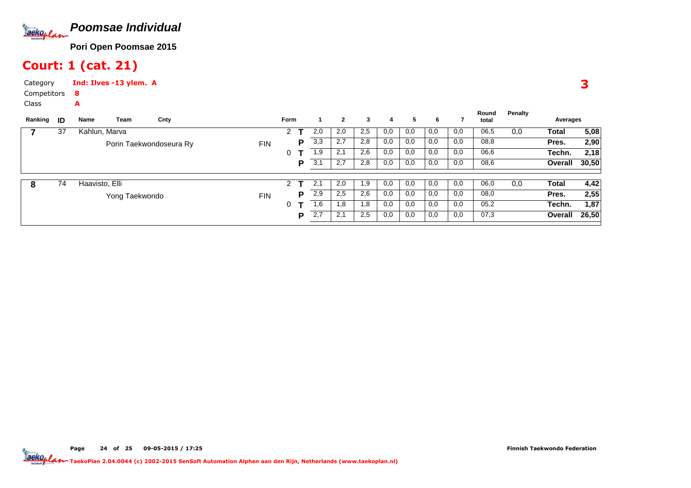

### Court: 1 (cat. 21)

A

Page

CategoryInd: Ilves -13 ylem. A

 Competitors8

Class

| Ranking | ID | Name           | Team           | Cnty                    |            | <b>Form</b> |   |     | $\mathbf{2}$ | 3   | 4   | 5   | 6   |     | Round<br>total | Penalty | Averages |       |
|---------|----|----------------|----------------|-------------------------|------------|-------------|---|-----|--------------|-----|-----|-----|-----|-----|----------------|---------|----------|-------|
|         | 37 | Kahlun, Marva  |                |                         |            | 2           |   | 2,0 | 2,0          | 2,5 | 0,0 | 0,0 | 0,0 | 0,0 | 06,5           | 0,0     | Total    | 5,08  |
|         |    |                |                | Porin Taekwondoseura Ry | <b>FIN</b> |             | p | 3,3 | 2,7          | 2,8 | 0,0 | 0,0 | 0,0 | 0,0 | 08,8           |         | Pres.    | 2,90  |
|         |    |                |                |                         |            | 0           |   | 1,9 | 2,1          | 2,6 | 0,0 | 0,0 | 0,0 | 0,0 | 06,6           |         | Techn.   | 2,18  |
|         |    |                |                |                         |            |             | P | 3,1 | 2,7          | 2,8 | 0,0 | 0,0 | 0,0 | 0,0 | 08,6           |         | Overall  | 30,50 |
| 8       | 74 | Haavisto, Elli |                |                         |            | 2           |   | 2.1 | 2,0          | 1,9 | 0,0 | 0,0 | 0,0 | 0,0 | 06,0           | 0,0     | Total    | 4,42  |
|         |    |                | Yong Taekwondo |                         | <b>FIN</b> |             | p | 2,9 | 2,5          | 2,6 | 0,0 | 0,0 | 0,0 | 0,0 | 08,0           |         | Pres.    | 2,55  |
|         |    |                |                |                         |            | 0           |   | 1,6 | 1,8          | 1,8 | 0,0 | 0,0 | 0,0 | 0,0 | 05,2           |         | Techn.   | 1,87  |
|         |    |                |                |                         |            |             | D | 2,7 | 2,1          | 2,5 | 0,0 | 0,0 | 0,0 | 0,0 | 07,3           |         | Overall  | 26,50 |
|         |    |                |                |                         |            |             |   |     |              |     |     |     |     |     |                |         |          |       |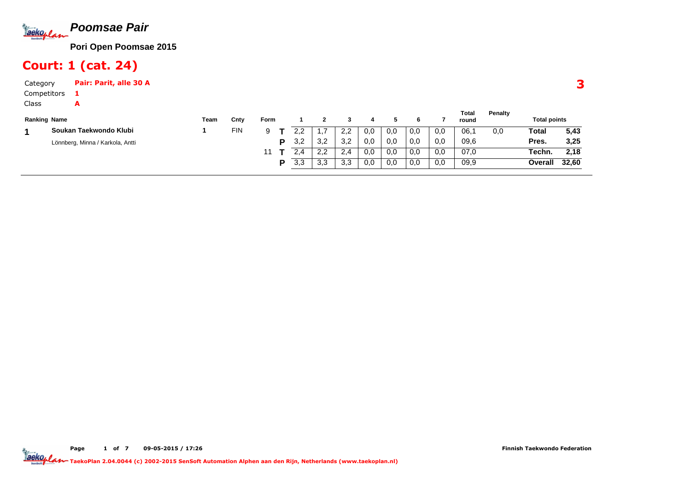

### Court: 1 (cat. 24)

A

Page

CategoryPair: Parit, alle 30 A

Competitors1

Class

| <b>Ranking Name</b> |                                  | Team | Cnty       | Form |     |              |             |     |     |     |     | Total<br>round | Penalty | <b>Total points</b> |       |
|---------------------|----------------------------------|------|------------|------|-----|--------------|-------------|-----|-----|-----|-----|----------------|---------|---------------------|-------|
|                     | Soukan Taekwondo Klubi           |      | <b>FIN</b> |      |     | .            | 2,2         | 0,0 | 0.0 | 0,0 | 0,0 | 06.1           | 0,0     | Total               | 5,43  |
|                     | Lönnberg, Minna / Karkola, Antti |      |            | D    | 3.2 | 3.2          | 3.2         | 0,0 | 0.0 | 0,0 | 0,0 | 09,6           |         | Pres.               | 3,25  |
|                     |                                  |      |            |      |     | ററ<br>$\sim$ | ົດ <i>A</i> | 0,0 | 0.0 | 0,0 | 0,0 | 07,0           |         | Techn.              | 2,18  |
|                     |                                  |      |            | D    | 3.3 | 3.3          | 3.3         | 0,0 | 0.0 | 0,0 | 0,0 | 09,9           |         | Overall             | 32,60 |

of <sup>7</sup> 09-05-2015 / 17:26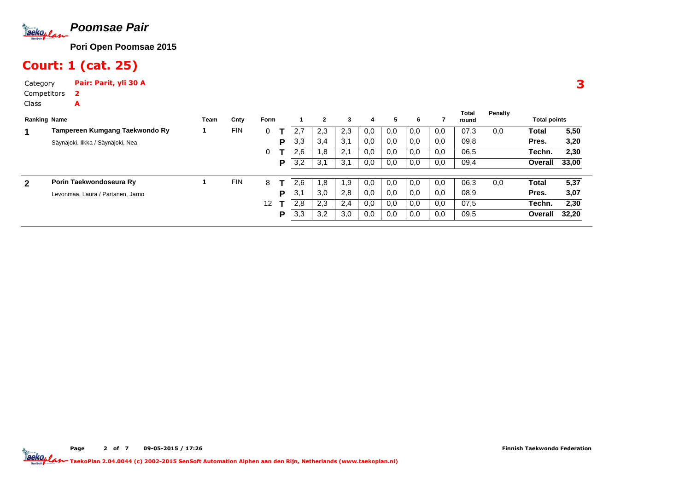

Court: 1 (cat. 25)

CategoryPair: Parit, yli 30 A

A

Page

Competitors2

Class

| <b>Ranking Name</b> |                                   | Team | Cnty       | Form |   |     | $\mathbf{2}$ | 3   | 4   | 5.  | 6   |     | Total<br>round | Penalty | <b>Total points</b> |       |
|---------------------|-----------------------------------|------|------------|------|---|-----|--------------|-----|-----|-----|-----|-----|----------------|---------|---------------------|-------|
| 1                   | Tampereen Kumgang Taekwondo Ry    |      | <b>FIN</b> | 0    |   |     | 2,3          | 2,3 | 0,0 | 0,0 | 0,0 | 0,0 | 07,3           | 0,0     | Total               | 5,50  |
|                     | Säynäjoki, Ilkka / Säynäjoki, Nea |      |            |      | P | 3,3 | 3,4          | 3,1 | 0,0 | 0,0 | 0,0 | 0.0 | 09.8           |         | Pres.               | 3,20  |
|                     |                                   |      |            | 0    |   | 2,6 | 1,8          | 2,1 | 0,0 | 0,0 | 0,0 | 0,0 | 06,5           |         | Techn.              | 2,30  |
|                     |                                   |      |            |      | P | 3,2 | 3,1          | 3,1 | 0,0 | 0,0 | 0,0 | 0,0 | 09,4           |         | <b>Overall</b>      | 33,00 |
|                     | Porin Taekwondoseura Ry           |      | <b>FIN</b> | 8    |   | 2.6 | 1,8          | 1.9 | 0,0 | 0,0 | 0,0 | 0.0 | 06,3           | 0,0     | Total               | 5,37  |
| 2                   | Levonmaa, Laura / Partanen, Jarno |      |            |      | P | 3.7 | 3,0          | 2,8 | 0,0 | 0,0 | 0,0 | 0,0 | 08,9           |         | Pres.               | 3,07  |
|                     |                                   |      |            | 12   |   | 2,8 | 2,3          | 2,4 | 0,0 | 0,0 | 0,0 | 0,0 | 07,5           |         | Techn.              | 2,30  |
|                     |                                   |      |            |      | P | 3,3 | 3,2          | 3,0 | 0,0 | 0,0 | 0,0 | 0,0 | 09,5           |         | <b>Overall</b>      | 32,20 |
|                     |                                   |      |            |      |   |     |              |     |     |     |     |     |                |         |                     |       |

e 2 TaekoPlan 2.04.0044 (c) 2002-2015 SenSoft Automation Alphen aan den Rijn, Netherlands (www.taekoplan.nl)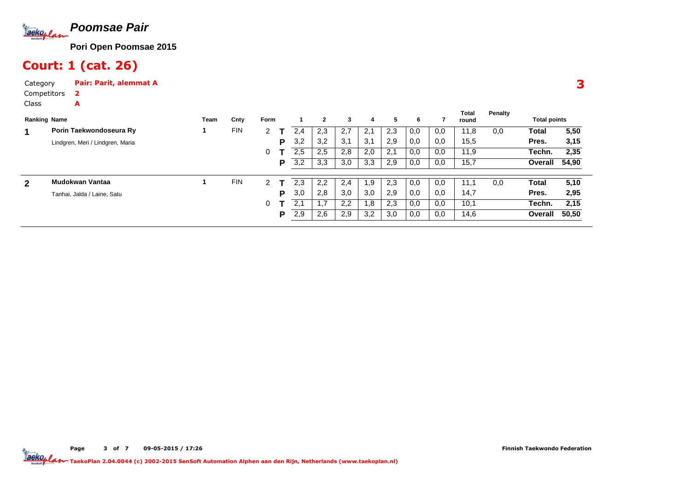

Court: 1 (cat. 26)

A

Page

CategoryPair: Parit, alemmat A

Competitors2

Class

|   | <b>Ranking Name</b>              | Team | Cnty       | Form |   |     | $\mathbf{2}$ | 3   | 4   | 5   | 6   |     | Total<br>round | Penalty | <b>Total points</b> |       |
|---|----------------------------------|------|------------|------|---|-----|--------------|-----|-----|-----|-----|-----|----------------|---------|---------------------|-------|
|   | Porin Taekwondoseura Ry          |      | FIN        | 2    |   | 2,4 | 2,3          | 2,7 | 2.1 | 2.3 | 0,0 | 0.0 | 11,8           | 0,0     | Total               | 5,50  |
|   | Lindgren, Meri / Lindgren, Maria |      |            |      | P | 3,2 | 3,2          | 3,1 | 3,1 | 2.9 | 0,0 | 0.0 | 15,5           |         | Pres.               | 3,15  |
|   |                                  |      |            | 0    |   | 2,5 | 2,5          | 2,8 | 2,0 | 2,1 | 0,0 | 0,0 | 11,9           |         | Techn.              | 2,35  |
|   |                                  |      |            |      | Р | 3,2 | 3,3          | 3,0 | 3,3 | 2,9 | 0,0 | 0,0 | 15,7           |         | Overall             | 54,90 |
| 2 | Mudokwan Vantaa                  |      | <b>FIN</b> | 2    |   | 2,3 | 2,2          | 2,4 | 1.9 | 2,3 | 0,0 | 0,0 | 11.1           | 0,0     | Total               | 5,10  |
|   | Tanhai, Jalda / Laine, Satu      |      |            |      | Þ | 3,0 | 2,8          | 3,0 | 3,0 | 2,9 | 0,0 | 0,0 | 14,7           |         | Pres.               | 2,95  |
|   |                                  |      |            | 0    |   | 2.1 | 1.7          | 2,2 | 1.8 | 2,3 | 0,0 | 0,0 | 10,1           |         | Techn.              | 2,15  |
|   |                                  |      |            |      | P | 2,9 | 2,6          | 2,9 | 3,2 | 3,0 | 0,0 | 0,0 | 14,6           |         | Overall             | 50,50 |

of <sup>7</sup> 09-05-2015 / 17:26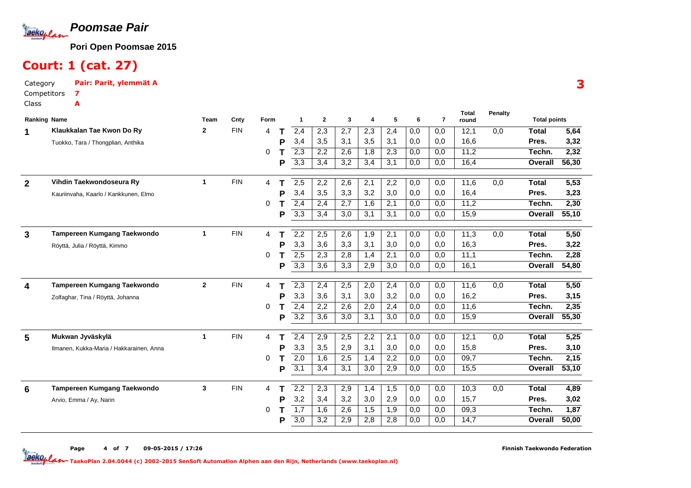

### Court: 1 (cat. 27)

A

Category Pair: Parit, ylemmät ACompetitors7

Class

|              | <b>Ranking Name</b>                      | Team         | Cnty       | Form |   |                  | $\mathbf{2}$     | 3                | 4   | 5                | 6   | $\overline{7}$ | <b>Total</b><br>round | Penalty | <b>Total points</b> |                   |
|--------------|------------------------------------------|--------------|------------|------|---|------------------|------------------|------------------|-----|------------------|-----|----------------|-----------------------|---------|---------------------|-------------------|
|              | Klaukkalan Tae Kwon Do Ry                | $\mathbf{2}$ | <b>FIN</b> | 4    |   | 2,4              | 2,3              | 2,7              | 2,3 | 2,4              | 0,0 | 0.0            | 12,1                  | 0.0     | <b>Total</b>        | 5,64              |
|              | Tuokko, Tara / Thongplian, Anthika       |              |            |      | Р | 3,4              | 3,5              | 3,1              | 3,5 | 3,1              | 0,0 | 0.0            | 16.6                  |         | Pres.               | 3,32              |
|              |                                          |              |            | 0    |   | $\overline{2,3}$ | 2,2              | 2,6              | 1,8 | $\overline{2,3}$ | 0,0 | 0,0            | 11,2                  |         | Techn.              | 2,32              |
|              |                                          |              |            |      | P | 3,3              | 3,4              | $\overline{3,2}$ | 3,4 | 3,1              | 0,0 | 0.0            | 16.4                  |         | Overall             | 56,30             |
| $\mathbf{2}$ | Vihdin Taekwondoseura Ry                 | $\mathbf{1}$ | <b>FIN</b> | 4    |   | 2,5              | 2,2              | 2,6              | 2,1 | 2,2              | 0,0 | 0,0            | 11,6                  | 0,0     | <b>Total</b>        | $\overline{5,53}$ |
|              | Kauriinvaha, Kaarlo / Kankkunen, Elmo    |              |            |      | Р | 3,4              | 3,5              | 3,3              | 3,2 | 3,0              | 0,0 | 0.0            | 16.4                  |         | Pres.               | 3,23              |
|              |                                          |              |            | O    |   | 2,4              | 2,4              | 2,7              | 1,6 | 2,1              | 0,0 | 0.0            | 11,2                  |         | Techn.              | 2,30              |
|              |                                          |              |            |      | Р | $\overline{3,3}$ | 3,4              | 3,0              | 3,1 | 3,1              | 0,0 | 0.0            | 15,9                  |         | Overall             | 55,10             |
| 3            | Tampereen Kumgang Taekwondo              | $\mathbf{1}$ | <b>FIN</b> | 4    |   | 2,2              | 2,5              | 2,6              | 1,9 | 2,1              | 0,0 | 0,0            | 11,3                  | 0.0     | Total               | 5,50              |
|              | Röyttä, Julia / Röyttä, Kimmo            |              |            |      | Р | 3,3              | 3,6              | 3,3              | 3,1 | 3,0              | 0,0 | 0,0            | 16,3                  |         | Pres.               | 3,22              |
|              |                                          |              |            | 0    |   | 2,5              | 2,3              | 2,8              | 1,4 | 2,1              | 0,0 | 0,0            | 11,1                  |         | Techn.              | 2,28              |
|              |                                          |              |            |      | P | 3,3              | $\overline{3,6}$ | 3,3              | 2,9 | 3,0              | 0,0 | 0,0            | 16,1                  |         | Overall             | 54,80             |
|              |                                          |              |            |      |   |                  |                  |                  |     |                  |     |                |                       |         |                     |                   |
| 4            | Tampereen Kumgang Taekwondo              | $\mathbf{2}$ | <b>FIN</b> | 4    |   | 2,3              | 2,4              | 2,5              | 2,0 | 2,4              | 0,0 | 0.0            | 11,6                  | 0.0     | <b>Total</b>        | 5,50              |
|              | Zolfaghar, Tina / Röyttä, Johanna        |              |            |      | Р | 3,3              | 3,6              | 3,1              | 3,0 | 3,2              | 0,0 | 0,0            | 16,2                  |         | Pres.               | 3,15              |
|              |                                          |              |            | 0    |   | $\overline{2,4}$ | 2,2              | 2,6              | 2,0 | 2,4              | 0,0 | 0,0            | 11,6                  |         | Techn.              | 2,35              |
|              |                                          |              |            |      | P | 3,2              | 3,6              | 3.0              | 3.1 | 3,0              | 0,0 | 0.0            | 15,9                  |         | Overall             | 55,30             |
| 5            | Mukwan Jyväskylä                         | $\mathbf 1$  | <b>FIN</b> | 4    |   | 2,4              | 2,9              | 2,5              | 2,2 | 2,1              | 0,0 | 0,0            | 12,1                  | 0,0     | <b>Total</b>        | 5,25              |
|              | Ilmanen, Kukka-Maria / Hakkarainen, Anna |              |            |      | P | 3,3              | 3,5              | 2,9              | 3,1 | 3,0              | 0,0 | 0.0            | 15,8                  |         | Pres.               | 3,10              |
|              |                                          |              |            | 0    |   | $\overline{2,0}$ | 1,6              | 2,5              | 1,4 | 2,2              | 0,0 | 0,0            | 09.7                  |         | Techn.              | 2,15              |
|              |                                          |              |            |      | P | 3,1              | 3,4              | 3,1              | 3,0 | 2,9              | 0,0 | 0.0            | 15,5                  |         | Overall             | 53,10             |
|              | Tampereen Kumgang Taekwondo              | 3            | <b>FIN</b> | 4    |   | 2,2              | 2,3              | 2,9              | 1,4 | 1,5              | 0,0 | 0,0            | 10,3                  | 0,0     | <b>Total</b>        | 4,89              |
| 6            | Arvio, Emma / Ay, Narin                  |              |            |      | P | 3,2              | 3,4              | 3,2              | 3,0 | 2,9              | 0,0 | 0,0            | 15,7                  |         | Pres.               | 3,02              |
|              |                                          |              |            | 0    |   | $\overline{1,7}$ | 1,6              | 2,6              | 1,5 | 1,9              | 0,0 | 0,0            | 09,3                  |         | Techn.              | 1,87              |
|              |                                          |              |            |      | P | $\overline{3,0}$ | 3,2              | 2,9              | 2,8 | 2,8              | 0,0 | 0.0            | 14,7                  |         | <b>Overall</b>      | 50,00             |
|              |                                          |              |            |      |   |                  |                  |                  |     |                  |     |                |                       |         |                     |                   |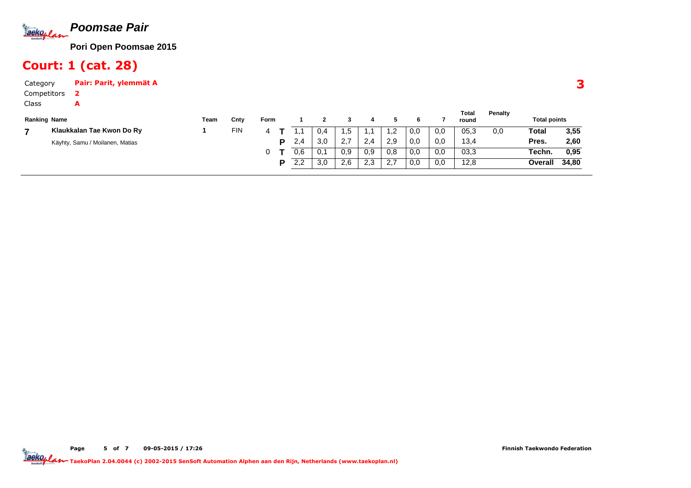

### Court: 1 (cat. 28)

A

Page

CategoryPair: Parit, ylemmät A

Competitors2

Class

| <b>Ranking Name</b> |                                 | Team | Cnty       | Form |     |     |     |     |        |     |     | Total<br>round | Penalty | <b>Total points</b> |       |
|---------------------|---------------------------------|------|------------|------|-----|-----|-----|-----|--------|-----|-----|----------------|---------|---------------------|-------|
|                     | Klaukkalan Tae Kwon Do Ry       |      | <b>FIN</b> |      |     | 0.4 | ە.  |     | $-$    | 0,0 | 0,0 | 05,3           | 0,0     | Total               | 3,55  |
|                     | Käyhty, Samu / Moilanen, Matias |      |            | D    | 2,4 | 3,0 |     | 2,4 | 2,9    | 0,0 | 0,0 | 13,4           |         | Pres.               | 2,60  |
|                     |                                 |      |            |      | 0.6 | 0,1 | 0.9 | 0,9 | 0,8    | 0,0 | 0,0 | 03,3           |         | Techn.              | 0,95  |
|                     |                                 |      |            | D    | 2.2 | 3.0 | 2.6 | 2.3 | $\sim$ | 0,0 | 0,0 | 12.8           |         | Overall             | 34,80 |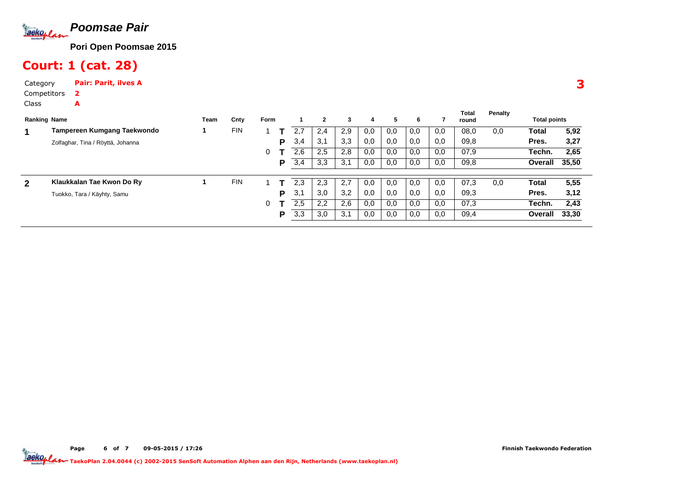

Court: 1 (cat. 28)

CategoryPair: Parit, ilves A

A

Page

Competitors2

Class

| <b>Total points</b> |                |      |
|---------------------|----------------|------|
|                     |                | 5,92 |
|                     |                | 3,27 |
| Techn.              |                | 2,65 |
| <b>Overall</b>      | 35,50          |      |
|                     |                | 5,55 |
|                     |                | 3,12 |
| Techn.              |                | 2,43 |
|                     | 33,30          |      |
|                     | <b>Overall</b> |      |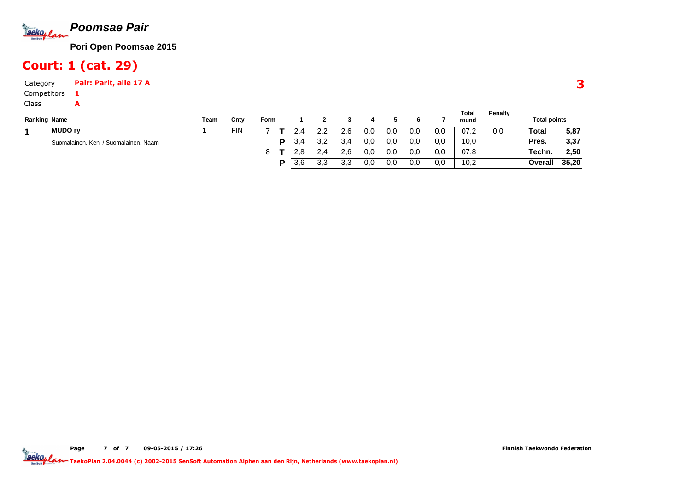

### Court: 1 (cat. 29)

A

Page

CategoryPair: Parit, alle 17 A

Competitors1

Class

| <b>Ranking Name</b> |                                       | Team | Cntv       | <b>Form</b> |     |     |     |     |     |     |     | Total<br>round | Penalty | <b>Total points</b> |       |
|---------------------|---------------------------------------|------|------------|-------------|-----|-----|-----|-----|-----|-----|-----|----------------|---------|---------------------|-------|
|                     | <b>MUDO rv</b>                        |      | <b>FIN</b> |             | 2.4 | 2,2 | 2.6 | 0,0 | 0,0 | 0,0 | 0,0 | 07.2           | 0,0     | Total               | 5,87  |
|                     | Suomalainen, Keni / Suomalainen, Naam |      |            | D.          | 3,4 | 3,2 | 3.4 | 0,0 | 0.0 | 0,0 | 0,0 | 10,0           |         | Pres.               | 3,37  |
|                     |                                       |      |            |             | 2,8 | 2,4 | 2.6 | 0,0 | 0,0 | 0,0 | 0,0 | 07.8           |         | Techn.              | 2,50  |
|                     |                                       |      |            | D           | 3,6 | 3,3 | 3.3 | 0,0 | 0,0 | 0,0 | 0,0 | 10,2           |         | Overall             | 35,20 |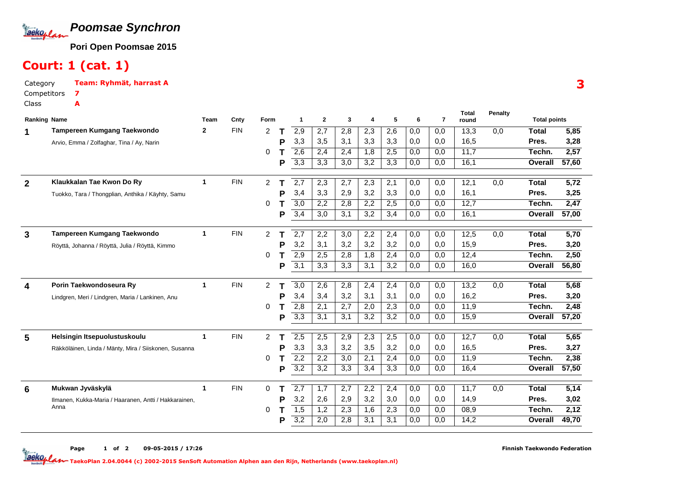

### Court: 1 (cat. 1)

7A

CategoryTeam: Ryhmät, harrast A

Competitors

Class

|                | <b>Ranking Name</b>                                   | Team        | Cnty       | Form           |   | 1                | $\mathbf{2}$ | 3                | 4                | 5   | 6                | 7   | round |     | <b>Total points</b> |                   |
|----------------|-------------------------------------------------------|-------------|------------|----------------|---|------------------|--------------|------------------|------------------|-----|------------------|-----|-------|-----|---------------------|-------------------|
|                | Tampereen Kumgang Taekwondo                           | 2           | <b>FIN</b> | 2              |   | 2,9              | 2,7          | 2,8              | 2,3              | 2,6 | 0,0              | 0.0 | 13,3  | 0.0 | <b>Total</b>        | 5,85              |
|                | Arvio, Emma / Zolfaghar, Tina / Ay, Narin             |             |            |                | Р | 3,3              | 3,5          | 3,1              | 3,3              | 3,3 | 0,0              | 0,0 | 16,5  |     | Pres.               | 3,28              |
|                |                                                       |             |            | 0              |   | $\overline{2,6}$ | 2,4          | 2,4              | 1,8              | 2,5 | 0,0              | 0,0 | 11.7  |     | Techn.              | 2,57              |
|                |                                                       |             |            |                | Р | 3,3              | 3,3          | 3,0              | 3,2              | 3,3 | 0,0              | 0,0 | 16,1  |     | Overall             | 57,60             |
| $\overline{2}$ | Klaukkalan Tae Kwon Do Ry                             | 1           | <b>FIN</b> | 2              |   | $\overline{2,7}$ | 2,3          | 2,7              | $\overline{2,3}$ | 2,1 | 0,0              | 0,0 | 12,1  | 0,0 | <b>Total</b>        | $\overline{5,72}$ |
|                | Tuokko, Tara / Thongplian, Anthika / Käyhty, Samu     |             |            |                | Р | 3,4              | 3,3          | 2,9              | 3,2              | 3,3 | 0,0              | 0.0 | 16.1  |     | Pres.               | 3,25              |
|                |                                                       |             |            | 0              |   | $\overline{3,0}$ | 2,2          | 2,8              | 2,2              | 2,5 | 0,0              | 0,0 | 12,7  |     | Techn.              | 2,47              |
|                |                                                       |             |            |                | P | 3,4              | 3,0          | 3,1              | 3,2              | 3,4 | 0,0              | 0,0 | 16,1  |     | <b>Overall</b>      | 57,00             |
| 3              | Tampereen Kumgang Taekwondo                           | $\mathbf 1$ | <b>FIN</b> | $\overline{2}$ |   | $\overline{2,7}$ | 2,2          | 3,0              | 2,2              | 2,4 | 0,0              | 0,0 | 12,5  | 0.0 | <b>Total</b>        | 5,70              |
|                | Röyttä, Johanna / Röyttä, Julia / Röyttä, Kimmo       |             |            |                |   | 3,2              | 3,1          | 3,2              | 3,2              | 3,2 | 0,0              | 0,0 | 15,9  |     | Pres.               | 3,20              |
|                |                                                       |             |            | 0              |   | 2,9              | 2,5          | 2,8              | 1,8              | 2,4 | 0,0              | 0,0 | 12,4  |     | Techn.              | 2,50              |
|                |                                                       |             |            |                | P | $\overline{3,1}$ | 3,3          | 3,3              | 3,1              | 3,2 | 0,0              | 0.0 | 16.0  |     | Overall             | 56,80             |
| 4              | Porin Taekwondoseura Ry                               | 1           | <b>FIN</b> | 2              |   | $\overline{3,0}$ | 2,6          | 2,8              | 2,4              | 2,4 | 0,0              | 0.0 | 13,2  | 0.0 | <b>Total</b>        | 5,68              |
|                | Lindgren, Meri / Lindgren, Maria / Lankinen, Anu      |             |            |                | P | 3,4              | 3,4          | 3,2              | 3,1              | 3,1 | 0,0              | 0.0 | 16,2  |     | Pres.               | 3,20              |
|                |                                                       |             |            | 0              |   | 2,8              | 2,1          | 2,7              | 2,0              | 2,3 | 0,0              | 0.0 | 11.9  |     | Techn.              | 2,48              |
|                |                                                       |             |            |                | P | $\overline{3,3}$ | 3,1          | 3,1              | 3,2              | 3,2 | 0,0              | 0.0 | 15,9  |     | Overall             | 57,20             |
| 5              | Helsingin Itsepuolustuskoulu                          | $\mathbf 1$ | <b>FIN</b> | $\overline{2}$ |   | 2,5              | 2,5          | 2,9              | 2,3              | 2,5 | 0,0              | 0,0 | 12,7  | 0,0 | <b>Total</b>        | 5,65              |
|                | Räkköläinen, Linda / Mänty, Mira / Siiskonen, Susanna |             |            |                | P | 3,3              | 3,3          | 3,2              | 3,5              | 3,2 | 0,0              | 0,0 | 16,5  |     | Pres.               | 3,27              |
|                |                                                       |             |            | 0              |   | $\overline{2,2}$ | 2,2          | 3,0              | 2,1              | 2,4 | $\overline{0,0}$ | 0.0 | 11,9  |     | Techn.              | 2,38              |
|                |                                                       |             |            |                | P | 3,2              | 3,2          | $\overline{3,3}$ | 3,4              | 3,3 | 0,0              | 0.0 | 16.4  |     | Overall             | 57,50             |
| 6              | Mukwan Jyväskylä                                      | 1           | <b>FIN</b> | 0              |   | $\overline{2,7}$ | 1,7          | 2,7              | 2,2              | 2,4 | 0,0              | 0,0 | 11,7  | 0,0 | Total               | 5,14              |
|                | Ilmanen, Kukka-Maria / Haaranen, Antti / Hakkarainen, |             |            |                | P | 3,2              | 2,6          | 2,9              | 3,2              | 3,0 | 0,0              | 0,0 | 14.9  |     | Pres.               | 3,02              |
|                | Anna                                                  |             |            | 0              |   | 1,5              | 1,2          | 2,3              | 1,6              | 2,3 | 0,0              | 0,0 | 08,9  |     | Techn.              | 2,12              |
|                |                                                       |             |            |                | Р | $\overline{3,2}$ | 2,0          | 2,8              | 3.1              | 3.1 | 0,0              | 0.0 | 14.2  |     | Overall             | 49,70             |
|                |                                                       |             |            |                |   |                  |              |                  |                  |     |                  |     |       |     |                     |                   |

**Total**

**Penalty**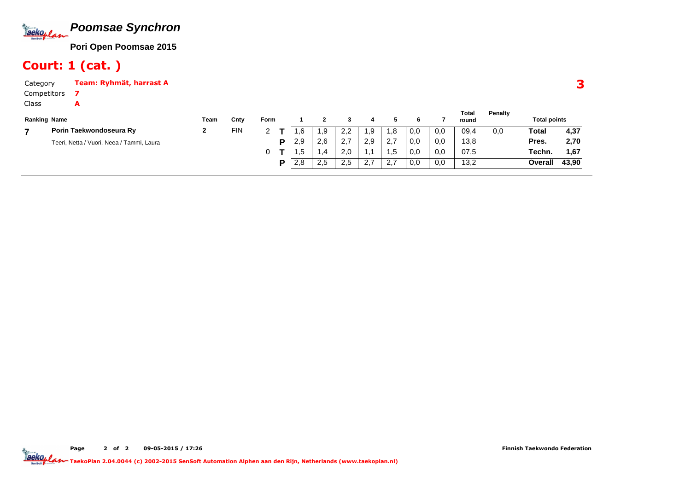

# Court: 1 (cat. )

A

CategoryTeam: Ryhmät, harrast A

Competitors7

Class

| <b>Ranking Name</b>                       | Team | Cnty       | Form |     |            |                |                            |      |     |     | Total<br>round | <b>Penalty</b> | <b>Total points</b> |       |
|-------------------------------------------|------|------------|------|-----|------------|----------------|----------------------------|------|-----|-----|----------------|----------------|---------------------|-------|
| Porin Taekwondoseura Ry                   | -    | <b>FIN</b> |      | .6  | 9. ا       | っっ<br><u>.</u> | .9                         | .8   | 0,0 | 0,0 | 09,4           | 0,0            | Total               | 4,37  |
| Teeri, Netta / Vuori, Neea / Tammi, Laura |      |            | D    | 2.9 | 2,6        | <u>. . </u>    | 2,9                        | 2,7  | 0,0 | 0,0 | 13,8           |                | Pres.               | 2,70  |
|                                           |      |            |      | ں،  | 1.4        | 2.0            |                            | 5. ا | 0,0 | 0,0 | 07,5           |                | Techn.              | 1,67  |
|                                           |      |            | D    | 2.8 | っち<br>ن. ے | 2.5            | $\sim$ $\sim$<br>$Z, \ell$ | ۷.   | 0,0 | 0,0 | 13,2           |                | Overall             | 43,90 |